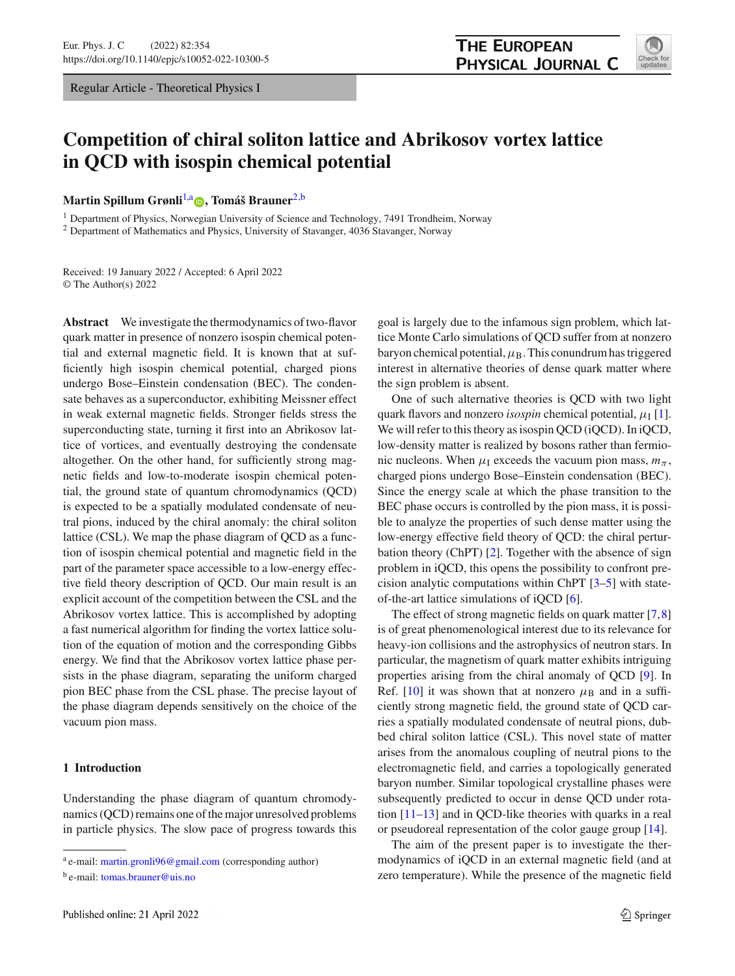Regular Article - Theoretical Physics I



# **Competition of chiral soliton lattice and Abrikosov vortex lattice in QCD with isospin chemical potential**

**Martin Spillum Grønli<sup>[1,](#page-0-0)a</sup> •[,](http://orcid.org/0000-0002-4416-2154) Tomáš Brauner<sup>[2,](#page-0-0)b</sup>** 

<sup>1</sup> Department of Physics, Norwegian University of Science and Technology, 7491 Trondheim, Norway

<sup>2</sup> Department of Mathematics and Physics, University of Stavanger, 4036 Stavanger, Norway

Received: 19 January 2022 / Accepted: 6 April 2022 © The Author(s) 2022

**Abstract** We investigate the thermodynamics of two-flavor quark matter in presence of nonzero isospin chemical potential and external magnetic field. It is known that at sufficiently high isospin chemical potential, charged pions undergo Bose–Einstein condensation (BEC). The condensate behaves as a superconductor, exhibiting Meissner effect in weak external magnetic fields. Stronger fields stress the superconducting state, turning it first into an Abrikosov lattice of vortices, and eventually destroying the condensate altogether. On the other hand, for sufficiently strong magnetic fields and low-to-moderate isospin chemical potential, the ground state of quantum chromodynamics (QCD) is expected to be a spatially modulated condensate of neutral pions, induced by the chiral anomaly: the chiral soliton lattice (CSL). We map the phase diagram of QCD as a function of isospin chemical potential and magnetic field in the part of the parameter space accessible to a low-energy effective field theory description of QCD. Our main result is an explicit account of the competition between the CSL and the Abrikosov vortex lattice. This is accomplished by adopting a fast numerical algorithm for finding the vortex lattice solution of the equation of motion and the corresponding Gibbs energy. We find that the Abrikosov vortex lattice phase persists in the phase diagram, separating the uniform charged pion BEC phase from the CSL phase. The precise layout of the phase diagram depends sensitively on the choice of the vacuum pion mass.

# **1 Introduction**

Understanding the phase diagram of quantum chromodynamics (QCD) remains one of the major unresolved problems in particle physics. The slow pace of progress towards this <span id="page-0-0"></span>goal is largely due to the infamous sign problem, which lattice Monte Carlo simulations of QCD suffer from at nonzero baryon chemical potential,  $\mu_B$ . This conundrum has triggered interest in alternative theories of dense quark matter where the sign problem is absent.

One of such alternative theories is QCD with two light quark flavors and nonzero *isospin* chemical potential,  $\mu_I$  [\[1](#page-13-0)]. We will refer to this theory as isospin QCD (iQCD). In iQCD, low-density matter is realized by bosons rather than fermionic nucleons. When  $\mu_1$  exceeds the vacuum pion mass,  $m_\pi$ , charged pions undergo Bose–Einstein condensation (BEC). Since the energy scale at which the phase transition to the BEC phase occurs is controlled by the pion mass, it is possible to analyze the properties of such dense matter using the low-energy effective field theory of QCD: the chiral perturbation theory (ChPT) [\[2](#page-13-1)]. Together with the absence of sign problem in iQCD, this opens the possibility to confront precision analytic computations within ChPT [\[3](#page-13-2)[–5](#page-13-3)] with stateof-the-art lattice simulations of iQCD [\[6\]](#page-13-4).

The effect of strong magnetic fields on quark matter [\[7,](#page-13-5)[8\]](#page-13-6) is of great phenomenological interest due to its relevance for heavy-ion collisions and the astrophysics of neutron stars. In particular, the magnetism of quark matter exhibits intriguing properties arising from the chiral anomaly of QCD [\[9\]](#page-13-7). In Ref. [\[10\]](#page-13-8) it was shown that at nonzero  $\mu_B$  and in a sufficiently strong magnetic field, the ground state of QCD carries a spatially modulated condensate of neutral pions, dubbed chiral soliton lattice (CSL). This novel state of matter arises from the anomalous coupling of neutral pions to the electromagnetic field, and carries a topologically generated baryon number. Similar topological crystalline phases were subsequently predicted to occur in dense QCD under rotation [\[11](#page-13-9)[–13\]](#page-13-10) and in QCD-like theories with quarks in a real or pseudoreal representation of the color gauge group [\[14](#page-13-11)].

The aim of the present paper is to investigate the thermodynamics of iQCD in an external magnetic field (and at zero temperature). While the presence of the magnetic field

<sup>a</sup> e-mail: [martin.gronli96@gmail.com](mailto:martin.gronli96@gmail.com) (corresponding author)

b e-mail: [tomas.brauner@uis.no](mailto:tomas.brauner@uis.no)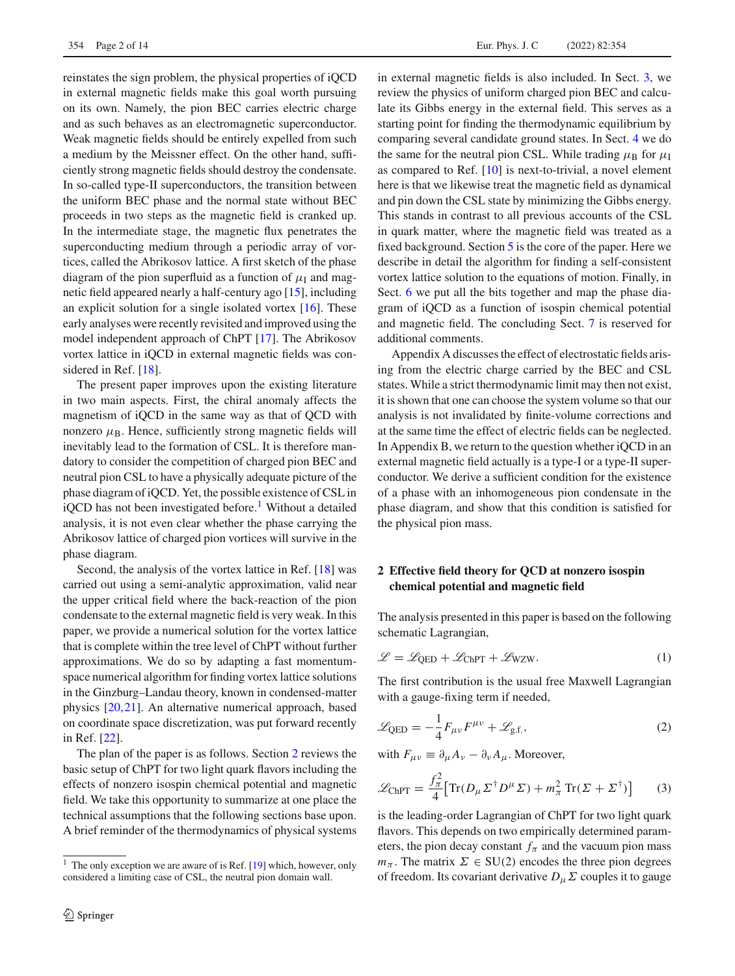reinstates the sign problem, the physical properties of iQCD in external magnetic fields make this goal worth pursuing on its own. Namely, the pion BEC carries electric charge and as such behaves as an electromagnetic superconductor. Weak magnetic fields should be entirely expelled from such a medium by the Meissner effect. On the other hand, sufficiently strong magnetic fields should destroy the condensate. In so-called type-II superconductors, the transition between the uniform BEC phase and the normal state without BEC proceeds in two steps as the magnetic field is cranked up. In the intermediate stage, the magnetic flux penetrates the superconducting medium through a periodic array of vortices, called the Abrikosov lattice. A first sketch of the phase diagram of the pion superfluid as a function of  $\mu_I$  and magnetic field appeared nearly a half-century ago [\[15\]](#page-13-12), including an explicit solution for a single isolated vortex [\[16](#page-13-13)]. These early analyses were recently revisited and improved using the model independent approach of ChPT [\[17](#page-13-14)]. The Abrikosov vortex lattice in iQCD in external magnetic fields was considered in Ref. [\[18](#page-13-15)].

The present paper improves upon the existing literature in two main aspects. First, the chiral anomaly affects the magnetism of iQCD in the same way as that of QCD with nonzero  $\mu_B$ . Hence, sufficiently strong magnetic fields will inevitably lead to the formation of CSL. It is therefore mandatory to consider the competition of charged pion BEC and neutral pion CSL to have a physically adequate picture of the phase diagram of iQCD. Yet, the possible existence of CSL in iQCD has not been investigated before.<sup>[1](#page-1-0)</sup> Without a detailed analysis, it is not even clear whether the phase carrying the Abrikosov lattice of charged pion vortices will survive in the phase diagram.

Second, the analysis of the vortex lattice in Ref. [\[18](#page-13-15)] was carried out using a semi-analytic approximation, valid near the upper critical field where the back-reaction of the pion condensate to the external magnetic field is very weak. In this paper, we provide a numerical solution for the vortex lattice that is complete within the tree level of ChPT without further approximations. We do so by adapting a fast momentumspace numerical algorithm for finding vortex lattice solutions in the Ginzburg–Landau theory, known in condensed-matter physics [\[20,](#page-13-16)[21\]](#page-13-17). An alternative numerical approach, based on coordinate space discretization, was put forward recently in Ref. [\[22\]](#page-13-18).

The plan of the paper is as follows. Section [2](#page-1-1) reviews the basic setup of ChPT for two light quark flavors including the effects of nonzero isospin chemical potential and magnetic field. We take this opportunity to summarize at one place the technical assumptions that the following sections base upon. A brief reminder of the thermodynamics of physical systems in external magnetic fields is also included. In Sect. [3,](#page-3-0) we review the physics of uniform charged pion BEC and calculate its Gibbs energy in the external field. This serves as a starting point for finding the thermodynamic equilibrium by comparing several candidate ground states. In Sect. [4](#page-3-1) we do the same for the neutral pion CSL. While trading  $\mu_B$  for  $\mu_I$ as compared to Ref. [\[10\]](#page-13-8) is next-to-trivial, a novel element here is that we likewise treat the magnetic field as dynamical and pin down the CSL state by minimizing the Gibbs energy. This stands in contrast to all previous accounts of the CSL in quark matter, where the magnetic field was treated as a fixed background. Section [5](#page-5-0) is the core of the paper. Here we describe in detail the algorithm for finding a self-consistent vortex lattice solution to the equations of motion. Finally, in Sect. [6](#page-8-0) we put all the bits together and map the phase diagram of iQCD as a function of isospin chemical potential and magnetic field. The concluding Sect. [7](#page-10-0) is reserved for additional comments.

Appendix A discusses the effect of electrostatic fields arising from the electric charge carried by the BEC and CSL states. While a strict thermodynamic limit may then not exist, it is shown that one can choose the system volume so that our analysis is not invalidated by finite-volume corrections and at the same time the effect of electric fields can be neglected. In Appendix B, we return to the question whether iQCD in an external magnetic field actually is a type-I or a type-II superconductor. We derive a sufficient condition for the existence of a phase with an inhomogeneous pion condensate in the phase diagram, and show that this condition is satisfied for the physical pion mass.

# <span id="page-1-1"></span>**2 Effective field theory for QCD at nonzero isospin chemical potential and magnetic field**

The analysis presented in this paper is based on the following schematic Lagrangian,

<span id="page-1-2"></span>
$$
\mathcal{L} = \mathcal{L}_{QED} + \mathcal{L}_{ChPT} + \mathcal{L}_{WZW}.
$$
 (1)

The first contribution is the usual free Maxwell Lagrangian with a gauge-fixing term if needed,

$$
\mathcal{L}_{\text{QED}} = -\frac{1}{4} F_{\mu\nu} F^{\mu\nu} + \mathcal{L}_{\text{g.f.}},
$$
\n(2)

with  $F_{\mu\nu} \equiv \partial_{\mu} A_{\nu} - \partial_{\nu} A_{\mu}$ . Moreover,

$$
\mathcal{L}_{\text{ChPT}} = \frac{f_{\pi}^2}{4} \left[ \text{Tr}(D_{\mu} \Sigma^{\dagger} D^{\mu} \Sigma) + m_{\pi}^2 \text{Tr}(\Sigma + \Sigma^{\dagger}) \right]
$$
(3)

is the leading-order Lagrangian of ChPT for two light quark flavors. This depends on two empirically determined parameters, the pion decay constant  $f_{\pi}$  and the vacuum pion mass *m*<sub>π</sub>. The matrix  $\Sigma \in SU(2)$  encodes the three pion degrees of freedom. Its covariant derivative  $D_\mu \Sigma$  couples it to gauge

<span id="page-1-0"></span> $1$  The only exception we are aware of is Ref. [\[19\]](#page-13-19) which, however, only considered a limiting case of CSL, the neutral pion domain wall.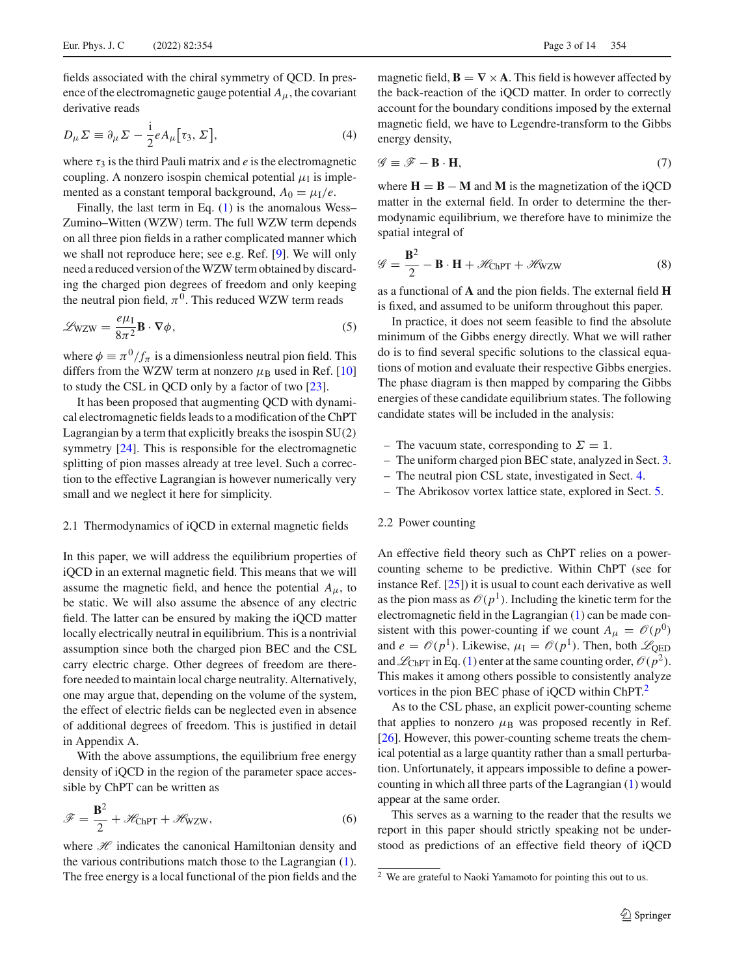fields associated with the chiral symmetry of QCD. In presence of the electromagnetic gauge potential  $A_\mu$ , the covariant derivative reads

$$
D_{\mu}\Sigma \equiv \partial_{\mu}\Sigma - \frac{i}{2}eA_{\mu}[\tau_3, \Sigma],
$$
\n(4)

where  $\tau_3$  is the third Pauli matrix and *e* is the electromagnetic coupling. A nonzero isospin chemical potential  $\mu_I$  is implemented as a constant temporal background,  $A_0 = \mu_I/e$ .

Finally, the last term in Eq. [\(1\)](#page-1-2) is the anomalous Wess– Zumino–Witten (WZW) term. The full WZW term depends on all three pion fields in a rather complicated manner which we shall not reproduce here; see e.g. Ref. [\[9\]](#page-13-7). We will only need a reduced version of the WZW term obtained by discarding the charged pion degrees of freedom and only keeping the neutral pion field,  $\pi^{0}$ . This reduced WZW term reads

<span id="page-2-2"></span>
$$
\mathcal{L}_{\text{WZW}} = \frac{e\mu_1}{8\pi^2} \mathbf{B} \cdot \nabla \phi,\tag{5}
$$

where  $\phi \equiv \pi^0/f_\pi$  is a dimensionless neutral pion field. This differs from the WZW term at nonzero  $\mu_B$  used in Ref. [\[10\]](#page-13-8) to study the CSL in QCD only by a factor of two [\[23](#page-13-20)].

It has been proposed that augmenting QCD with dynamical electromagnetic fields leads to a modification of the ChPT Lagrangian by a term that explicitly breaks the isospin SU(2) symmetry [\[24](#page-13-21)]. This is responsible for the electromagnetic splitting of pion masses already at tree level. Such a correction to the effective Lagrangian is however numerically very small and we neglect it here for simplicity.

#### <span id="page-2-4"></span>2.1 Thermodynamics of iQCD in external magnetic fields

In this paper, we will address the equilibrium properties of iQCD in an external magnetic field. This means that we will assume the magnetic field, and hence the potential  $A_{\mu}$ , to be static. We will also assume the absence of any electric field. The latter can be ensured by making the iQCD matter locally electrically neutral in equilibrium. This is a nontrivial assumption since both the charged pion BEC and the CSL carry electric charge. Other degrees of freedom are therefore needed to maintain local charge neutrality. Alternatively, one may argue that, depending on the volume of the system, the effect of electric fields can be neglected even in absence of additional degrees of freedom. This is justified in detail in Appendix A.

With the above assumptions, the equilibrium free energy density of iQCD in the region of the parameter space accessible by ChPT can be written as

$$
\mathcal{F} = \frac{\mathbf{B}^2}{2} + \mathcal{H}_{\text{ChPT}} + \mathcal{H}_{\text{WZW}},\tag{6}
$$

where *H* indicates the canonical Hamiltonian density and the various contributions match those to the Lagrangian [\(1\)](#page-1-2). The free energy is a local functional of the pion fields and the

magnetic field,  $\mathbf{B} = \nabla \times \mathbf{A}$ . This field is however affected by the back-reaction of the iQCD matter. In order to correctly account for the boundary conditions imposed by the external magnetic field, we have to Legendre-transform to the Gibbs energy density,

<span id="page-2-3"></span>
$$
\mathcal{G} \equiv \mathcal{F} - \mathbf{B} \cdot \mathbf{H},\tag{7}
$$

where  $H = B - M$  and M is the magnetization of the iQCD matter in the external field. In order to determine the thermodynamic equilibrium, we therefore have to minimize the spatial integral of

<span id="page-2-1"></span>
$$
\mathcal{G} = \frac{\mathbf{B}^2}{2} - \mathbf{B} \cdot \mathbf{H} + \mathcal{H}_{\text{ChPT}} + \mathcal{H}_{\text{WZW}} \tag{8}
$$

as a functional of **A** and the pion fields. The external field **H** is fixed, and assumed to be uniform throughout this paper.

In practice, it does not seem feasible to find the absolute minimum of the Gibbs energy directly. What we will rather do is to find several specific solutions to the classical equations of motion and evaluate their respective Gibbs energies. The phase diagram is then mapped by comparing the Gibbs energies of these candidate equilibrium states. The following candidate states will be included in the analysis:

- The vacuum state, corresponding to  $\Sigma = \mathbb{1}$ .
- The uniform charged pion BEC state, analyzed in Sect. [3.](#page-3-0)
- The neutral pion CSL state, investigated in Sect. [4.](#page-3-1)
- The Abrikosov vortex lattice state, explored in Sect. [5.](#page-5-0)

#### 2.2 Power counting

An effective field theory such as ChPT relies on a powercounting scheme to be predictive. Within ChPT (see for instance Ref. [\[25](#page-13-22)]) it is usual to count each derivative as well as the pion mass as  $\mathcal{O}(p^1)$ . Including the kinetic term for the electromagnetic field in the Lagrangian [\(1\)](#page-1-2) can be made consistent with this power-counting if we count  $A_{\mu} = \mathcal{O}(p^0)$ and  $e = \mathcal{O}(p^1)$ . Likewise,  $\mu_I = \mathcal{O}(p^1)$ . Then, both  $\mathcal{L}_{\text{OED}}$ and  $\mathcal{L}_{ChPT}$  in Eq. [\(1\)](#page-1-2) enter at the same counting order,  $\mathcal{O}(p^2)$ . This makes it among others possible to consistently analyze vortices in the pion BEC phase of iQCD within ChPT.<sup>2</sup>

As to the CSL phase, an explicit power-counting scheme that applies to nonzero  $\mu$ <sub>B</sub> was proposed recently in Ref. [\[26](#page-13-23)]. However, this power-counting scheme treats the chemical potential as a large quantity rather than a small perturbation. Unfortunately, it appears impossible to define a powercounting in which all three parts of the Lagrangian [\(1\)](#page-1-2) would appear at the same order.

This serves as a warning to the reader that the results we report in this paper should strictly speaking not be understood as predictions of an effective field theory of iQCD

<span id="page-2-0"></span><sup>2</sup> We are grateful to Naoki Yamamoto for pointing this out to us.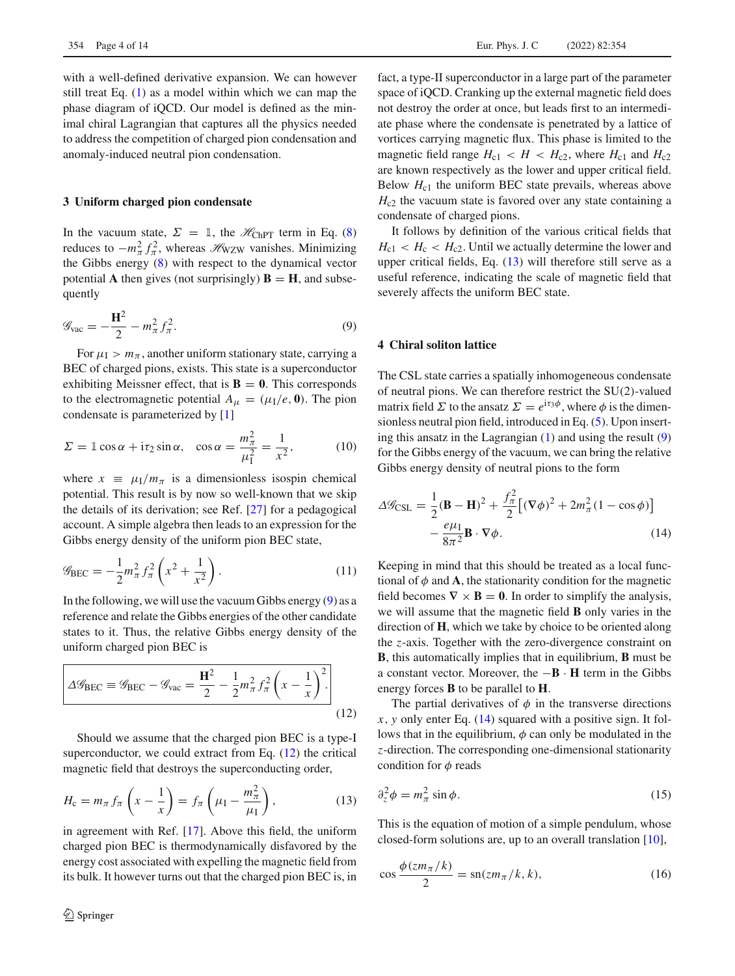with a well-defined derivative expansion. We can however still treat Eq. [\(1\)](#page-1-2) as a model within which we can map the phase diagram of iQCD. Our model is defined as the minimal chiral Lagrangian that captures all the physics needed to address the competition of charged pion condensation and anomaly-induced neutral pion condensation.

## <span id="page-3-0"></span>**3 Uniform charged pion condensate**

In the vacuum state,  $\Sigma = 1$ , the  $\mathcal{H}_{ChPT}$  term in Eq. [\(8\)](#page-2-1) reduces to  $-m_{\pi}^2 f_{\pi}^2$ , whereas  $\mathscr{H}_{WZW}$  vanishes. Minimizing the Gibbs energy [\(8\)](#page-2-1) with respect to the dynamical vector potential **A** then gives (not surprisingly)  $\mathbf{B} = \mathbf{H}$ , and subsequently

<span id="page-3-2"></span>
$$
\mathcal{G}_{\text{vac}} = -\frac{\mathbf{H}^2}{2} - m_\pi^2 f_\pi^2.
$$
 (9)

For  $\mu_1 > m_\pi$ , another uniform stationary state, carrying a BEC of charged pions, exists. This state is a superconductor exhibiting Meissner effect, that is  $\mathbf{B} = 0$ . This corresponds to the electromagnetic potential  $A_\mu = (\mu_I/e, \mathbf{0})$ . The pion condensate is parameterized by [\[1\]](#page-13-0)

$$
\Sigma = \mathbb{1} \cos \alpha + i\tau_2 \sin \alpha, \quad \cos \alpha = \frac{m_{\pi}^2}{\mu_1^2} = \frac{1}{x^2}, \quad (10)
$$

where  $x \equiv \mu_I/m_\pi$  is a dimensionless isospin chemical potential. This result is by now so well-known that we skip the details of its derivation; see Ref. [\[27\]](#page-13-24) for a pedagogical account. A simple algebra then leads to an expression for the Gibbs energy density of the uniform pion BEC state,

$$
\mathscr{G}_{\text{BEC}} = -\frac{1}{2} m_{\pi}^2 f_{\pi}^2 \left( x^2 + \frac{1}{x^2} \right). \tag{11}
$$

In the following, we will use the vacuum Gibbs energy [\(9\)](#page-3-2) as a reference and relate the Gibbs energies of the other candidate states to it. Thus, the relative Gibbs energy density of the uniform charged pion BEC is

<span id="page-3-3"></span>
$$
\Delta \mathscr{G}_{\text{BEC}} \equiv \mathscr{G}_{\text{BEC}} - \mathscr{G}_{\text{vac}} = \frac{\mathbf{H}^2}{2} - \frac{1}{2} m_\pi^2 f_\pi^2 \left( x - \frac{1}{x} \right)^2.
$$
\n(12)

Should we assume that the charged pion BEC is a type-I superconductor, we could extract from Eq.  $(12)$  the critical magnetic field that destroys the superconducting order,

<span id="page-3-4"></span>
$$
H_{\rm c} = m_{\pi} f_{\pi} \left( x - \frac{1}{x} \right) = f_{\pi} \left( \mu_{\rm I} - \frac{m_{\pi}^2}{\mu_{\rm I}} \right),\tag{13}
$$

in agreement with Ref. [\[17\]](#page-13-14). Above this field, the uniform charged pion BEC is thermodynamically disfavored by the energy cost associated with expelling the magnetic field from its bulk. It however turns out that the charged pion BEC is, in fact, a type-II superconductor in a large part of the parameter space of iQCD. Cranking up the external magnetic field does not destroy the order at once, but leads first to an intermediate phase where the condensate is penetrated by a lattice of vortices carrying magnetic flux. This phase is limited to the magnetic field range  $H_{c1} < H < H_{c2}$ , where  $H_{c1}$  and  $H_{c2}$ are known respectively as the lower and upper critical field. Below  $H_{c1}$  the uniform BEC state prevails, whereas above *H*<sub>c2</sub> the vacuum state is favored over any state containing a condensate of charged pions.

It follows by definition of the various critical fields that  $H_{c1} < H_c < H_{c2}$ . Until we actually determine the lower and upper critical fields, Eq. [\(13\)](#page-3-4) will therefore still serve as a useful reference, indicating the scale of magnetic field that severely affects the uniform BEC state.

## <span id="page-3-1"></span>**4 Chiral soliton lattice**

The CSL state carries a spatially inhomogeneous condensate of neutral pions. We can therefore restrict the SU(2)-valued matrix field  $\Sigma$  to the ansatz  $\Sigma = e^{i\tau_3\phi}$ , where  $\phi$  is the dimensionless neutral pion field, introduced in Eq. [\(5\)](#page-2-2). Upon inserting this ansatz in the Lagrangian [\(1\)](#page-1-2) and using the result [\(9\)](#page-3-2) for the Gibbs energy of the vacuum, we can bring the relative Gibbs energy density of neutral pions to the form

<span id="page-3-5"></span>
$$
\Delta \mathcal{G}_{\text{CSL}} = \frac{1}{2} (\mathbf{B} - \mathbf{H})^2 + \frac{f_\pi^2}{2} \left[ (\nabla \phi)^2 + 2m_\pi^2 (1 - \cos \phi) \right] - \frac{e\mu_\text{I}}{8\pi^2} \mathbf{B} \cdot \nabla \phi.
$$
 (14)

Keeping in mind that this should be treated as a local functional of  $\phi$  and **A**, the stationarity condition for the magnetic field becomes  $\nabla \times \mathbf{B} = \mathbf{0}$ . In order to simplify the analysis, we will assume that the magnetic field **B** only varies in the direction of **H**, which we take by choice to be oriented along the *z*-axis. Together with the zero-divergence constraint on **B**, this automatically implies that in equilibrium, **B** must be a constant vector. Moreover, the −**B** · **H** term in the Gibbs energy forces **B** to be parallel to **H**.

The partial derivatives of  $\phi$  in the transverse directions *x*, *y* only enter Eq. [\(14\)](#page-3-5) squared with a positive sign. It follows that in the equilibrium,  $\phi$  can only be modulated in the *z*-direction. The corresponding one-dimensional stationarity condition for  $\phi$  reads

$$
\partial_z^2 \phi = m_\pi^2 \sin \phi. \tag{15}
$$

This is the equation of motion of a simple pendulum, whose closed-form solutions are, up to an overall translation [\[10\]](#page-13-8),

<span id="page-3-6"></span>
$$
\cos\frac{\phi(zm_{\pi}/k)}{2} = \operatorname{sn}(zm_{\pi}/k, k),\tag{16}
$$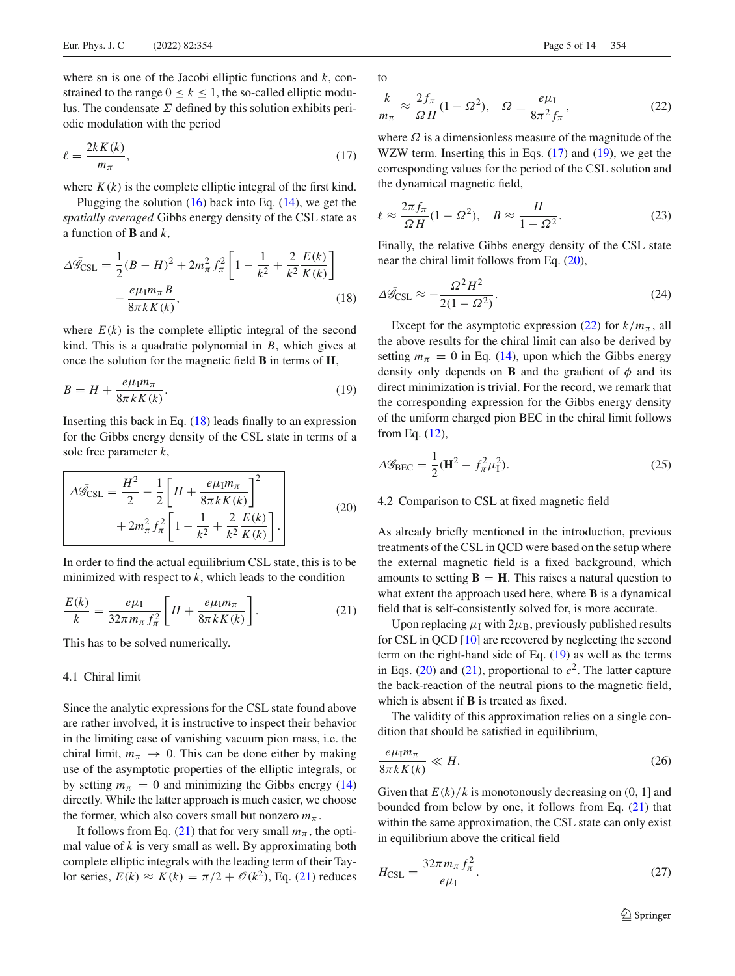where sn is one of the Jacobi elliptic functions and *k*, constrained to the range  $0 \le k \le 1$ , the so-called elliptic modulus. The condensate  $\Sigma$  defined by this solution exhibits periodic modulation with the period

<span id="page-4-2"></span>
$$
\ell = \frac{2kK(k)}{m_{\pi}},\tag{17}
$$

where  $K(k)$  is the complete elliptic integral of the first kind.

Plugging the solution  $(16)$  back into Eq.  $(14)$ , we get the *spatially averaged* Gibbs energy density of the CSL state as a function of **B** and *k*,

<span id="page-4-0"></span>
$$
\Delta \bar{\mathcal{G}}_{\text{CSL}} = \frac{1}{2} (B - H)^2 + 2m_{\pi}^2 f_{\pi}^2 \left[ 1 - \frac{1}{k^2} + \frac{2}{k^2} \frac{E(k)}{K(k)} \right] - \frac{e\mu_1 m_{\pi} B}{8\pi k K(k)},
$$
\n(18)

where  $E(k)$  is the complete elliptic integral of the second kind. This is a quadratic polynomial in *B*, which gives at once the solution for the magnetic field **B** in terms of **H**,

<span id="page-4-3"></span>
$$
B = H + \frac{e\mu_{\rm I}m_{\pi}}{8\pi k K(k)}.
$$
\n(19)

Inserting this back in Eq. [\(18\)](#page-4-0) leads finally to an expression for the Gibbs energy density of the CSL state in terms of a sole free parameter *k*,

<span id="page-4-4"></span>
$$
\Delta \bar{g}_{\text{CSL}} = \frac{H^2}{2} - \frac{1}{2} \left[ H + \frac{e\mu_1 m_\pi}{8\pi k K(k)} \right]^2 + 2m_\pi^2 f_\pi^2 \left[ 1 - \frac{1}{k^2} + \frac{2}{k^2} \frac{E(k)}{K(k)} \right].
$$
\n(20)

In order to find the actual equilibrium CSL state, this is to be minimized with respect to *k*, which leads to the condition

<span id="page-4-1"></span>
$$
\frac{E(k)}{k} = \frac{e\mu_{\rm I}}{32\pi m_{\pi}f_{\pi}^2} \left[H + \frac{e\mu_{\rm I}m_{\pi}}{8\pi k K(k)}\right].\tag{21}
$$

This has to be solved numerically.

#### <span id="page-4-8"></span>4.1 Chiral limit

Since the analytic expressions for the CSL state found above are rather involved, it is instructive to inspect their behavior in the limiting case of vanishing vacuum pion mass, i.e. the chiral limit,  $m_{\pi} \rightarrow 0$ . This can be done either by making use of the asymptotic properties of the elliptic integrals, or by setting  $m_\pi = 0$  and minimizing the Gibbs energy [\(14\)](#page-3-5) directly. While the latter approach is much easier, we choose the former, which also covers small but nonzero  $m_\pi$ .

It follows from Eq. [\(21\)](#page-4-1) that for very small  $m_\pi$ , the optimal value of *k* is very small as well. By approximating both complete elliptic integrals with the leading term of their Taylor series,  $E(k) \approx K(k) = \pi/2 + \mathcal{O}(k^2)$ , Eq. [\(21\)](#page-4-1) reduces

<span id="page-4-5"></span>
$$
\frac{k}{m_{\pi}} \approx \frac{2f_{\pi}}{\Omega H} (1 - \Omega^2), \quad \Omega \equiv \frac{e\mu_I}{8\pi^2 f_{\pi}}, \tag{22}
$$

where  $\Omega$  is a dimensionless measure of the magnitude of the WZW term. Inserting this in Eqs. [\(17\)](#page-4-2) and [\(19\)](#page-4-3), we get the corresponding values for the period of the CSL solution and the dynamical magnetic field,

$$
\ell \approx \frac{2\pi f_{\pi}}{\Omega H} (1 - \Omega^2), \quad B \approx \frac{H}{1 - \Omega^2}.
$$
 (23)

Finally, the relative Gibbs energy density of the CSL state near the chiral limit follows from Eq. [\(20\)](#page-4-4),

<span id="page-4-9"></span>
$$
\Delta \bar{\mathcal{G}}_{\text{CSL}} \approx -\frac{\Omega^2 H^2}{2(1 - \Omega^2)}.
$$
\n(24)

Except for the asymptotic expression [\(22\)](#page-4-5) for  $k/m_\pi$ , all the above results for the chiral limit can also be derived by setting  $m_\pi = 0$  in Eq. [\(14\)](#page-3-5), upon which the Gibbs energy density only depends on **B** and the gradient of  $\phi$  and its direct minimization is trivial. For the record, we remark that the corresponding expression for the Gibbs energy density of the uniform charged pion BEC in the chiral limit follows from Eq. [\(12\)](#page-3-3),

$$
\Delta \mathcal{G}_{BEC} = \frac{1}{2} (\mathbf{H}^2 - f_\pi^2 \mu_1^2).
$$
 (25)

#### 4.2 Comparison to CSL at fixed magnetic field

As already briefly mentioned in the introduction, previous treatments of the CSL in QCD were based on the setup where the external magnetic field is a fixed background, which amounts to setting  $\mathbf{B} = \mathbf{H}$ . This raises a natural question to what extent the approach used here, where **B** is a dynamical field that is self-consistently solved for, is more accurate.

Upon replacing  $\mu_I$  with  $2\mu_B$ , previously published results for CSL in QCD [\[10](#page-13-8)] are recovered by neglecting the second term on the right-hand side of Eq. [\(19\)](#page-4-3) as well as the terms in Eqs.  $(20)$  and  $(21)$ , proportional to  $e<sup>2</sup>$ . The latter capture the back-reaction of the neutral pions to the magnetic field, which is absent if **B** is treated as fixed.

The validity of this approximation relies on a single condition that should be satisfied in equilibrium,

<span id="page-4-6"></span>
$$
\frac{e\mu_1 m_\pi}{8\pi k K(k)} \ll H. \tag{26}
$$

Given that  $E(k)/k$  is monotonously decreasing on  $(0, 1]$  and bounded from below by one, it follows from Eq. [\(21\)](#page-4-1) that within the same approximation, the CSL state can only exist in equilibrium above the critical field

<span id="page-4-7"></span>
$$
H_{\rm CSL} = \frac{32\pi m_\pi f_\pi^2}{e\mu_{\rm I}}.\tag{27}
$$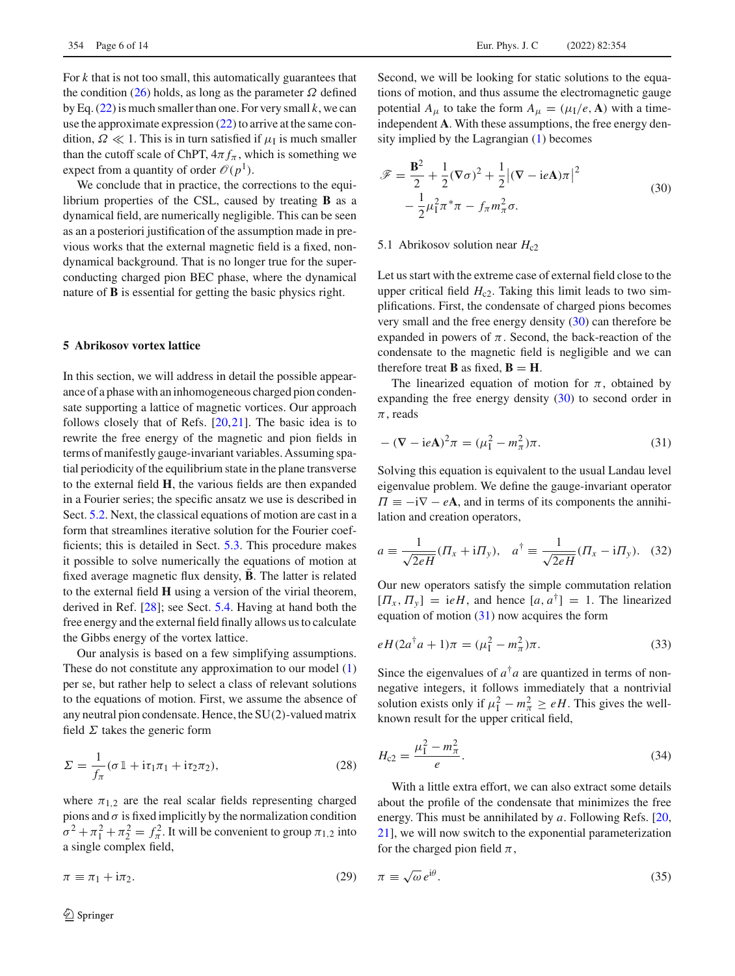For *k* that is not too small, this automatically guarantees that the condition [\(26\)](#page-4-6) holds, as long as the parameter  $\Omega$  defined by Eq. [\(22\)](#page-4-5) is much smaller than one. For very small *k*, we can use the approximate expression [\(22\)](#page-4-5) to arrive at the same condition,  $\Omega \ll 1$ . This is in turn satisfied if  $\mu_I$  is much smaller than the cutoff scale of ChPT,  $4\pi f_{\pi}$ , which is something we expect from a quantity of order  $\mathcal{O}(p^1)$ .

We conclude that in practice, the corrections to the equilibrium properties of the CSL, caused by treating **B** as a dynamical field, are numerically negligible. This can be seen as an a posteriori justification of the assumption made in previous works that the external magnetic field is a fixed, nondynamical background. That is no longer true for the superconducting charged pion BEC phase, where the dynamical nature of **B** is essential for getting the basic physics right.

### <span id="page-5-0"></span>**5 Abrikosov vortex lattice**

In this section, we will address in detail the possible appearance of a phase with an inhomogeneous charged pion condensate supporting a lattice of magnetic vortices. Our approach follows closely that of Refs. [\[20,](#page-13-16)[21\]](#page-13-17). The basic idea is to rewrite the free energy of the magnetic and pion fields in terms of manifestly gauge-invariant variables. Assuming spatial periodicity of the equilibrium state in the plane transverse to the external field **H**, the various fields are then expanded in a Fourier series; the specific ansatz we use is described in Sect. [5.2.](#page-6-0) Next, the classical equations of motion are cast in a form that streamlines iterative solution for the Fourier coefficients; this is detailed in Sect. [5.3.](#page-7-0) This procedure makes it possible to solve numerically the equations of motion at fixed average magnetic flux density, **B**. The latter is related to the external field **H** using a version of the virial theorem, derived in Ref. [\[28](#page-13-25)]; see Sect. [5.4.](#page-8-1) Having at hand both the free energy and the external field finally allows us to calculate the Gibbs energy of the vortex lattice.

Our analysis is based on a few simplifying assumptions. These do not constitute any approximation to our model [\(1\)](#page-1-2) per se, but rather help to select a class of relevant solutions to the equations of motion. First, we assume the absence of any neutral pion condensate. Hence, the SU(2)-valued matrix field  $\Sigma$  takes the generic form

$$
\Sigma = \frac{1}{f_{\pi}} (\sigma \mathbb{1} + i\tau_1 \pi_1 + i\tau_2 \pi_2), \tag{28}
$$

where  $\pi_{1,2}$  are the real scalar fields representing charged pions and  $\sigma$  is fixed implicitly by the normalization condition  $\sigma^2 + \pi_1^2 + \pi_2^2 = f_\pi^2$ . It will be convenient to group  $\pi_{1,2}$  into a single complex field,

 $\pi = \pi_1 + i\pi_2.$  (29)

<span id="page-5-1"></span>
$$
\mathcal{F} = \frac{\mathbf{B}^2}{2} + \frac{1}{2} (\nabla \sigma)^2 + \frac{1}{2} |(\nabla - i e \mathbf{A}) \pi|^2
$$
  

$$
- \frac{1}{2} \mu_1^2 \pi^* \pi - f_\pi m_\pi^2 \sigma.
$$
 (30)

#### <span id="page-5-5"></span>5.1 Abrikosov solution near  $H_{c2}$

Let us start with the extreme case of external field close to the upper critical field  $H_{c2}$ . Taking this limit leads to two simplifications. First, the condensate of charged pions becomes very small and the free energy density [\(30\)](#page-5-1) can therefore be expanded in powers of  $\pi$ . Second, the back-reaction of the condensate to the magnetic field is negligible and we can therefore treat **B** as fixed,  $\mathbf{B} = \mathbf{H}$ .

The linearized equation of motion for  $\pi$ , obtained by expanding the free energy density [\(30\)](#page-5-1) to second order in  $\pi$ , reads

<span id="page-5-2"></span>
$$
-(\nabla - ieA)^2 \pi = (\mu_1^2 - m_\pi^2)\pi.
$$
 (31)

Solving this equation is equivalent to the usual Landau level eigenvalue problem. We define the gauge-invariant operator  $\Pi \equiv -i\nabla - eA$ , and in terms of its components the annihilation and creation operators,

$$
a \equiv \frac{1}{\sqrt{2eH}}(\Pi_x + i\Pi_y), \quad a^\dagger \equiv \frac{1}{\sqrt{2eH}}(\Pi_x - i\Pi_y). \quad (32)
$$

Our new operators satisfy the simple commutation relation  $[T_x, T_y] = ieH$ , and hence  $[a, a^{\dagger}] = 1$ . The linearized equation of motion [\(31\)](#page-5-2) now acquires the form

$$
eH(2a^{\dagger}a+1)\pi = (\mu_1^2 - m_{\pi}^2)\pi.
$$
 (33)

Since the eigenvalues of  $a^{\dagger}a$  are quantized in terms of nonnegative integers, it follows immediately that a nontrivial solution exists only if  $\mu_{\rm I}^2 - m_{\pi}^2 \ge eH$ . This gives the wellknown result for the upper critical field,

<span id="page-5-4"></span>
$$
H_{c2} = \frac{\mu_1^2 - m_\pi^2}{e}.
$$
\n(34)

With a little extra effort, we can also extract some details about the profile of the condensate that minimizes the free energy. This must be annihilated by *a*. Following Refs. [\[20,](#page-13-16) [21](#page-13-17)], we will now switch to the exponential parameterization for the charged pion field  $\pi$ ,

<span id="page-5-3"></span>
$$
\pi \equiv \sqrt{\omega} \, e^{\mathrm{i}\theta} . \tag{35}
$$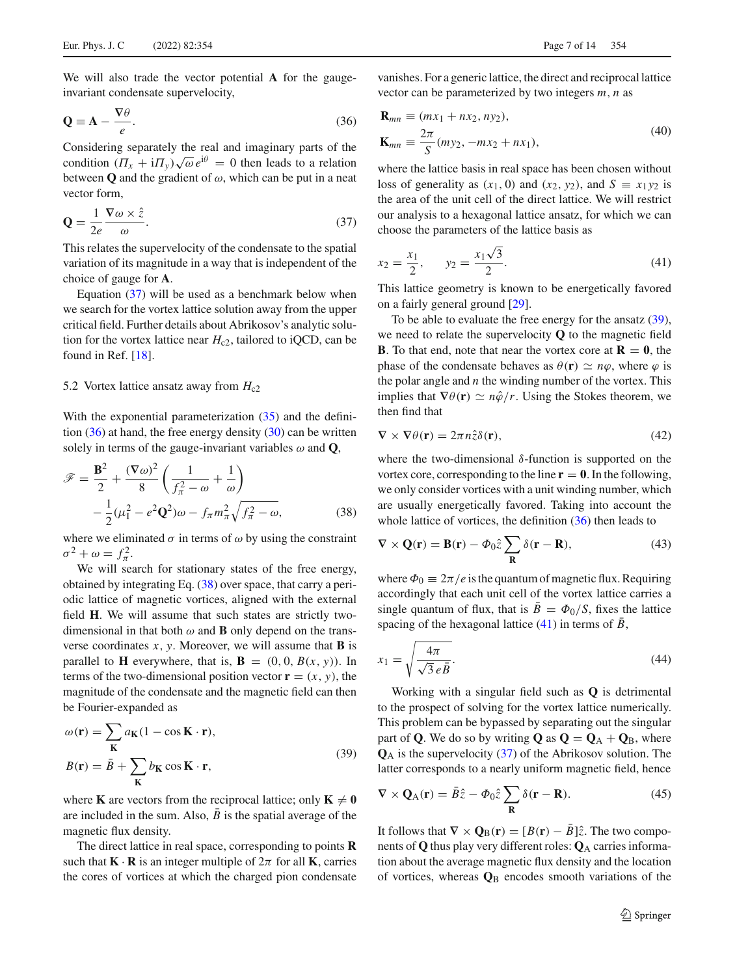We will also trade the vector potential **A** for the gaugeinvariant condensate supervelocity,

<span id="page-6-2"></span>
$$
\mathbf{Q} \equiv \mathbf{A} - \frac{\nabla \theta}{e}.\tag{36}
$$

Considering separately the real and imaginary parts of the condition  $(\Pi_x + i\Pi_y)\sqrt{\omega}e^{i\theta} = 0$  then leads to a relation between **Q** and the gradient of  $\omega$ , which can be put in a neat vector form,

<span id="page-6-1"></span>
$$
\mathbf{Q} = \frac{1}{2e} \frac{\nabla \omega \times \hat{z}}{\omega}.
$$
 (37)

This relates the supervelocity of the condensate to the spatial variation of its magnitude in a way that is independent of the choice of gauge for **A**.

Equation  $(37)$  will be used as a benchmark below when we search for the vortex lattice solution away from the upper critical field. Further details about Abrikosov's analytic solution for the vortex lattice near  $H_{c2}$ , tailored to iQCD, can be found in Ref. [\[18\]](#page-13-15).

#### <span id="page-6-0"></span>5.2 Vortex lattice ansatz away from  $H_{c2}$

With the exponential parameterization  $(35)$  and the definition  $(36)$  at hand, the free energy density  $(30)$  can be written solely in terms of the gauge-invariant variables  $\omega$  and **Q**,

<span id="page-6-3"></span>
$$
\mathscr{F} = \frac{\mathbf{B}^2}{2} + \frac{(\nabla \omega)^2}{8} \left( \frac{1}{f_\pi^2 - \omega} + \frac{1}{\omega} \right) \n- \frac{1}{2} (\mu_1^2 - e^2 \mathbf{Q}^2) \omega - f_\pi m_\pi^2 \sqrt{f_\pi^2 - \omega},
$$
\n(38)

where we eliminated  $\sigma$  in terms of  $\omega$  by using the constraint  $\sigma^2 + \omega = f_{\pi}^2$ .

We will search for stationary states of the free energy, obtained by integrating Eq. [\(38\)](#page-6-3) over space, that carry a periodic lattice of magnetic vortices, aligned with the external field **H**. We will assume that such states are strictly twodimensional in that both  $\omega$  and **B** only depend on the transverse coordinates  $x$ ,  $y$ . Moreover, we will assume that **B** is parallel to **H** everywhere, that is,  $\mathbf{B} = (0, 0, B(x, y))$ . In terms of the two-dimensional position vector  $\mathbf{r} = (x, y)$ , the magnitude of the condensate and the magnetic field can then be Fourier-expanded as

<span id="page-6-4"></span>
$$
\omega(\mathbf{r}) = \sum_{\mathbf{K}} a_{\mathbf{K}} (1 - \cos \mathbf{K} \cdot \mathbf{r}),
$$
  
\n
$$
B(\mathbf{r}) = \bar{B} + \sum_{\mathbf{K}} b_{\mathbf{K}} \cos \mathbf{K} \cdot \mathbf{r},
$$
\n(39)

where **K** are vectors from the reciprocal lattice; only  $K \neq 0$ are included in the sum. Also,  $B$  is the spatial average of the magnetic flux density.

The direct lattice in real space, corresponding to points **R** such that  $\mathbf{K} \cdot \mathbf{R}$  is an integer multiple of  $2\pi$  for all **K**, carries the cores of vortices at which the charged pion condensate

vanishes. For a generic lattice, the direct and reciprocal lattice vector can be parameterized by two integers *m*, *n* as

$$
\mathbf{R}_{mn} \equiv (mx_1 + nx_2, ny_2), \n\mathbf{K}_{mn} \equiv \frac{2\pi}{S}(my_2, -mx_2 + nx_1),
$$
\n(40)

where the lattice basis in real space has been chosen without loss of generality as  $(x_1, 0)$  and  $(x_2, y_2)$ , and  $S = x_1 y_2$  is the area of the unit cell of the direct lattice. We will restrict our analysis to a hexagonal lattice ansatz, for which we can choose the parameters of the lattice basis as

<span id="page-6-5"></span>
$$
x_2 = \frac{x_1}{2}, \qquad y_2 = \frac{x_1\sqrt{3}}{2}.
$$
 (41)

This lattice geometry is known to be energetically favored on a fairly general ground [\[29](#page-13-26)].

To be able to evaluate the free energy for the ansatz [\(39\)](#page-6-4), we need to relate the supervelocity **Q** to the magnetic field **B**. To that end, note that near the vortex core at  $\mathbf{R} = \mathbf{0}$ , the phase of the condensate behaves as  $\theta(\mathbf{r}) \simeq n\varphi$ , where  $\varphi$  is the polar angle and *n* the winding number of the vortex. This implies that  $\nabla \theta(\mathbf{r}) \simeq n\hat{\varphi}/r$ . Using the Stokes theorem, we then find that

$$
\nabla \times \nabla \theta(\mathbf{r}) = 2\pi n \hat{z} \delta(\mathbf{r}),\tag{42}
$$

where the two-dimensional  $\delta$ -function is supported on the vortex core, corresponding to the line  $\mathbf{r} = \mathbf{0}$ . In the following, we only consider vortices with a unit winding number, which are usually energetically favored. Taking into account the whole lattice of vortices, the definition  $(36)$  then leads to

$$
\nabla \times \mathbf{Q}(\mathbf{r}) = \mathbf{B}(\mathbf{r}) - \Phi_0 \hat{z} \sum_{\mathbf{R}} \delta(\mathbf{r} - \mathbf{R}),
$$
 (43)

where  $\Phi_0 \equiv 2\pi/e$  is the quantum of magnetic flux. Requiring accordingly that each unit cell of the vortex lattice carries a single quantum of flux, that is  $\overline{B} = \Phi_0/S$ , fixes the lattice spacing of the hexagonal lattice [\(41\)](#page-6-5) in terms of  $\bar{B}$ ,

<span id="page-6-6"></span>
$$
x_1 = \sqrt{\frac{4\pi}{\sqrt{3} \, e \, \bar{B}}}.\tag{44}
$$

Working with a singular field such as **Q** is detrimental to the prospect of solving for the vortex lattice numerically. This problem can be bypassed by separating out the singular part of **Q**. We do so by writing **Q** as  $Q = Q_A + Q_B$ , where **Q**<sup>A</sup> is the supervelocity [\(37\)](#page-6-1) of the Abrikosov solution. The latter corresponds to a nearly uniform magnetic field, hence

$$
\nabla \times \mathbf{Q}_{A}(\mathbf{r}) = \bar{B}\hat{z} - \Phi_{0}\hat{z} \sum_{\mathbf{R}} \delta(\mathbf{r} - \mathbf{R}).
$$
 (45)

It follows that  $\nabla \times \mathbf{Q}_B(\mathbf{r}) = [B(\mathbf{r}) - B]\hat{z}$ . The two components of **Q** thus play very different roles: **Q**<sup>A</sup> carries information about the average magnetic flux density and the location of vortices, whereas  $\mathbf{Q}_B$  encodes smooth variations of the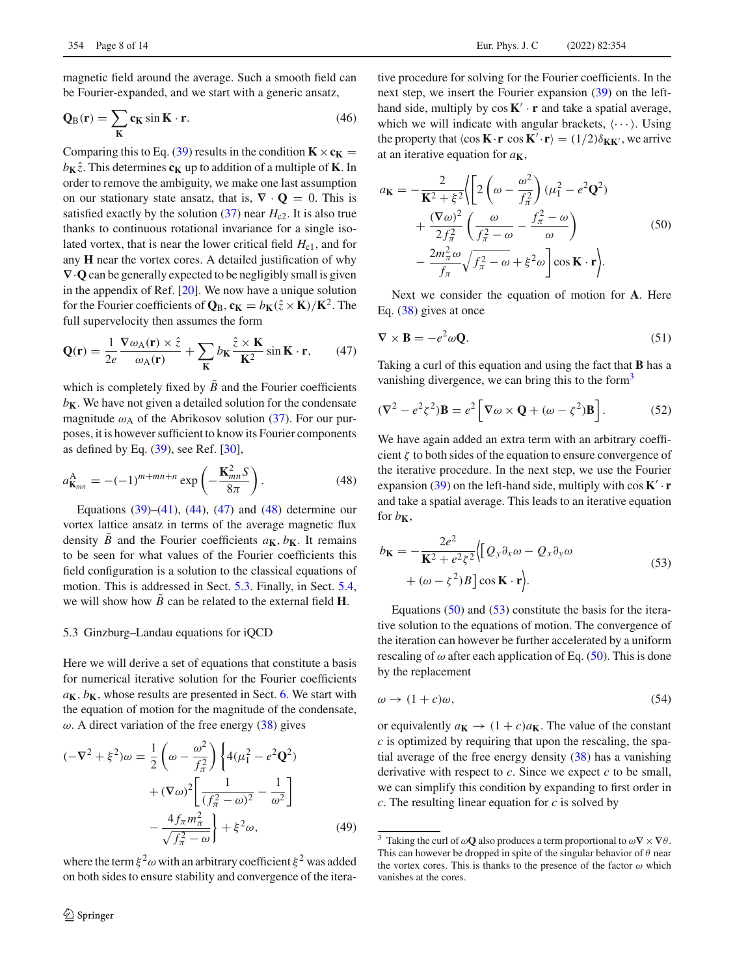magnetic field around the average. Such a smooth field can be Fourier-expanded, and we start with a generic ansatz,

$$
Q_{B}(r) = \sum_{K} c_{K} \sin K \cdot r.
$$
 (46)

Comparing this to Eq. [\(39\)](#page-6-4) results in the condition  $\mathbf{K} \times \mathbf{c_K} =$  $b_{\mathbf{K}}\hat{z}$ . This determines  $c_{\mathbf{K}}$  up to addition of a multiple of **K**. In order to remove the ambiguity, we make one last assumption on our stationary state ansatz, that is,  $\nabla \cdot \mathbf{Q} = 0$ . This is satisfied exactly by the solution  $(37)$  near  $H_{c2}$ . It is also true thanks to continuous rotational invariance for a single isolated vortex, that is near the lower critical field  $H_{c1}$ , and for any **H** near the vortex cores. A detailed justification of why **∇**·**Q** can be generally expected to be negligibly small is given in the appendix of Ref. [\[20](#page-13-16)]. We now have a unique solution for the Fourier coefficients of  $\mathbf{Q}_B$ ,  $\mathbf{c_K} = b_K(\hat{z} \times \mathbf{K})/\mathbf{K}^2$ . The full supervelocity then assumes the form

<span id="page-7-1"></span>
$$
\mathbf{Q}(\mathbf{r}) = \frac{1}{2e} \frac{\nabla \omega_{\mathbf{A}}(\mathbf{r}) \times \hat{z}}{\omega_{\mathbf{A}}(\mathbf{r})} + \sum_{\mathbf{K}} b_{\mathbf{K}} \frac{\hat{z} \times \mathbf{K}}{\mathbf{K}^2} \sin \mathbf{K} \cdot \mathbf{r}, \qquad (47)
$$

which is completely fixed by  $\overline{B}$  and the Fourier coefficients  $b_K$ . We have not given a detailed solution for the condensate magnitude  $\omega_A$  of the Abrikosov solution [\(37\)](#page-6-1). For our purposes, it is however sufficient to know its Fourier components as defined by Eq. [\(39\)](#page-6-4), see Ref. [\[30\]](#page-13-27),

<span id="page-7-2"></span>
$$
a_{\mathbf{K}_{mn}}^{\mathbf{A}} = -(-1)^{m+mn+n} \exp\left(-\frac{\mathbf{K}_{mn}^2 S}{8\pi}\right). \tag{48}
$$

Equations  $(39)$ – $(41)$ ,  $(44)$ ,  $(47)$  and  $(48)$  determine our vortex lattice ansatz in terms of the average magnetic flux density  $\overline{B}$  and the Fourier coefficients  $a_{\mathbf{K}}$ ,  $b_{\mathbf{K}}$ . It remains to be seen for what values of the Fourier coefficients this field configuration is a solution to the classical equations of motion. This is addressed in Sect. [5.3.](#page-7-0) Finally, in Sect. [5.4,](#page-8-1) we will show how  $B$  can be related to the external field  $H$ .

#### <span id="page-7-0"></span>5.3 Ginzburg–Landau equations for iQCD

Here we will derive a set of equations that constitute a basis for numerical iterative solution for the Fourier coefficients  $a_{\mathbf{K}}$ ,  $b_{\mathbf{K}}$ , whose results are presented in Sect. [6.](#page-8-0) We start with the equation of motion for the magnitude of the condensate,  $\omega$ . A direct variation of the free energy [\(38\)](#page-6-3) gives

$$
(-\nabla^2 + \xi^2)\omega = \frac{1}{2} \left( \omega - \frac{\omega^2}{f_{\pi}^2} \right) \left\{ 4(\mu_1^2 - e^2 \mathbf{Q}^2) + (\nabla \omega)^2 \left[ \frac{1}{(f_{\pi}^2 - \omega)^2} - \frac{1}{\omega^2} \right] - \frac{4f_{\pi}m_{\pi}^2}{\sqrt{f_{\pi}^2 - \omega}} \right\} + \xi^2 \omega,
$$
 (49)

where the term  $\xi^2 \omega$  with an arbitrary coefficient  $\xi^2$  was added on both sides to ensure stability and convergence of the itera-

tive procedure for solving for the Fourier coefficients. In the next step, we insert the Fourier expansion [\(39\)](#page-6-4) on the lefthand side, multiply by  $\cos K' \cdot r$  and take a spatial average, which we will indicate with angular brackets,  $\langle \cdots \rangle$ . Using the property that  $\langle \cos \mathbf{K} \cdot \mathbf{r} \cos \mathbf{K}' \cdot \mathbf{r} \rangle = (1/2) \delta_{\mathbf{K} \mathbf{K}'},$  we arrive at an iterative equation for *a***K**,

<span id="page-7-4"></span>
$$
a_{\mathbf{K}} = -\frac{2}{\mathbf{K}^2 + \xi^2} \Biggl\{ \Biggl[ 2\left(\omega - \frac{\omega^2}{f_\pi^2}\right) (\mu_1^2 - e^2 \mathbf{Q}^2) + \frac{(\nabla \omega)^2}{2f_\pi^2} \left(\frac{\omega}{f_\pi^2 - \omega} - \frac{f_\pi^2 - \omega}{\omega}\right) - \frac{2m_\pi^2 \omega}{f_\pi} \sqrt{f_\pi^2 - \omega} + \xi^2 \omega \Biggr] \cos \mathbf{K} \cdot \mathbf{r} \Biggr\}.
$$
\n(50)

Next we consider the equation of motion for **A**. Here Eq. [\(38\)](#page-6-3) gives at once

$$
\nabla \times \mathbf{B} = -e^2 \omega \mathbf{Q}.
$$
 (51)

Taking a curl of this equation and using the fact that **B** has a vanishing divergence, we can bring this to the form<sup>3</sup>

$$
(\nabla^2 - e^2 \zeta^2) \mathbf{B} = e^2 \left[ \nabla \omega \times \mathbf{Q} + (\omega - \zeta^2) \mathbf{B} \right].
$$
 (52)

We have again added an extra term with an arbitrary coefficient  $\zeta$  to both sides of the equation to ensure convergence of the iterative procedure. In the next step, we use the Fourier expansion [\(39\)](#page-6-4) on the left-hand side, multiply with  $\cos K' \cdot r$ and take a spatial average. This leads to an iterative equation for  $b_{\mathbf{K}}$ ,

<span id="page-7-5"></span>
$$
b_{\mathbf{K}} = -\frac{2e^2}{\mathbf{K}^2 + e^2 \zeta^2} \Big\{ \Big[ Q_y \partial_x \omega - Q_x \partial_y \omega + (\omega - \zeta^2) B \Big] \cos \mathbf{K} \cdot \mathbf{r} \Big\}.
$$
\n(53)

Equations  $(50)$  and  $(53)$  constitute the basis for the iterative solution to the equations of motion. The convergence of the iteration can however be further accelerated by a uniform rescaling of  $\omega$  after each application of Eq. [\(50\)](#page-7-4). This is done by the replacement

$$
\omega \to (1+c)\omega,\tag{54}
$$

or equivalently  $a_K \rightarrow (1+c)a_K$ . The value of the constant *c* is optimized by requiring that upon the rescaling, the spatial average of the free energy density [\(38\)](#page-6-3) has a vanishing derivative with respect to *c*. Since we expect *c* to be small, we can simplify this condition by expanding to first order in *c*. The resulting linear equation for *c* is solved by

<span id="page-7-3"></span><sup>&</sup>lt;sup>3</sup> Taking the curl of  $\omega$ **Q** also produces a term proportional to  $\omega \nabla \times \nabla \theta$ . This can however be dropped in spite of the singular behavior of  $\theta$  near the vortex cores. This is thanks to the presence of the factor  $\omega$  which vanishes at the cores.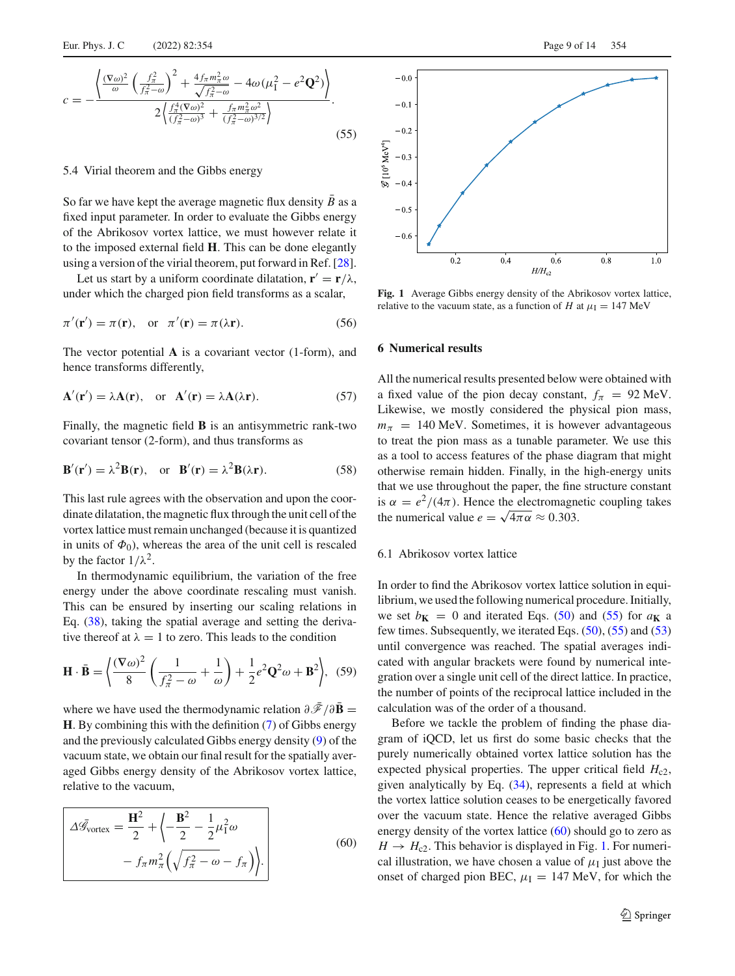<span id="page-8-2"></span>
$$
c = -\frac{\left\langle \frac{(\nabla \omega)^2}{\omega} \left( \frac{f_\pi^2}{f_\pi^2 - \omega} \right)^2 + \frac{4 f_\pi m_\pi^2 \omega}{\sqrt{f_\pi^2 - \omega}} - 4 \omega (\mu_1^2 - e^2 \mathbf{Q}^2) \right\rangle}{2 \left\langle \frac{f_\pi^4 (\nabla \omega)^2}{(f_\pi^2 - \omega)^3} + \frac{f_\pi m_\pi^2 \omega^2}{(f_\pi^2 - \omega)^{3/2}} \right\rangle}.
$$
(55)

#### <span id="page-8-1"></span>5.4 Virial theorem and the Gibbs energy

So far we have kept the average magnetic flux density  $\bar{B}$  as a fixed input parameter. In order to evaluate the Gibbs energy of the Abrikosov vortex lattice, we must however relate it to the imposed external field **H**. This can be done elegantly using a version of the virial theorem, put forward in Ref. [\[28](#page-13-25)].

Let us start by a uniform coordinate dilatation,  $\mathbf{r}' = \mathbf{r}/\lambda$ , under which the charged pion field transforms as a scalar,

$$
\pi'(\mathbf{r}') = \pi(\mathbf{r}), \quad \text{or} \quad \pi'(\mathbf{r}) = \pi(\lambda \mathbf{r}). \tag{56}
$$

The vector potential **A** is a covariant vector (1-form), and hence transforms differently,

$$
\mathbf{A}'(\mathbf{r}') = \lambda \mathbf{A}(\mathbf{r}), \quad \text{or} \quad \mathbf{A}'(\mathbf{r}) = \lambda \mathbf{A}(\lambda \mathbf{r}). \tag{57}
$$

Finally, the magnetic field **B** is an antisymmetric rank-two covariant tensor (2-form), and thus transforms as

$$
\mathbf{B}'(\mathbf{r}') = \lambda^2 \mathbf{B}(\mathbf{r}), \text{ or } \mathbf{B}'(\mathbf{r}) = \lambda^2 \mathbf{B}(\lambda \mathbf{r}).
$$
 (58)

This last rule agrees with the observation and upon the coordinate dilatation, the magnetic flux through the unit cell of the vortex lattice must remain unchanged (because it is quantized in units of  $\Phi_0$ ), whereas the area of the unit cell is rescaled by the factor  $1/\lambda^2$ .

In thermodynamic equilibrium, the variation of the free energy under the above coordinate rescaling must vanish. This can be ensured by inserting our scaling relations in Eq. [\(38\)](#page-6-3), taking the spatial average and setting the derivative thereof at  $\lambda = 1$  to zero. This leads to the condition

$$
\mathbf{H} \cdot \bar{\mathbf{B}} = \left\langle \frac{(\nabla \omega)^2}{8} \left( \frac{1}{f_\pi^2 - \omega} + \frac{1}{\omega} \right) + \frac{1}{2} e^2 \mathbf{Q}^2 \omega + \mathbf{B}^2 \right\rangle, \tag{59}
$$

where we have used the thermodynamic relation  $\partial \bar{\mathscr{F}} / \partial \bar{\mathbf{B}} =$ **H**. By combining this with the definition [\(7\)](#page-2-3) of Gibbs energy and the previously calculated Gibbs energy density [\(9\)](#page-3-2) of the vacuum state, we obtain our final result for the spatially averaged Gibbs energy density of the Abrikosov vortex lattice, relative to the vacuum,

<span id="page-8-3"></span>
$$
\Delta \bar{\mathcal{G}}_{\text{vortex}} = \frac{\mathbf{H}^2}{2} + \left\langle -\frac{\mathbf{B}^2}{2} - \frac{1}{2} \mu_1^2 \omega \right\rangle
$$

$$
- f_\pi m_\pi^2 \left( \sqrt{f_\pi^2 - \omega} - f_\pi \right) \Bigg\rangle. \tag{60}
$$



<span id="page-8-4"></span>**Fig. 1** Average Gibbs energy density of the Abrikosov vortex lattice, relative to the vacuum state, as a function of *H* at  $\mu_I = 147$  MeV

#### <span id="page-8-0"></span>**6 Numerical results**

All the numerical results presented below were obtained with a fixed value of the pion decay constant,  $f_{\pi} = 92$  MeV. Likewise, we mostly considered the physical pion mass,  $m_\pi$  = 140 MeV. Sometimes, it is however advantageous to treat the pion mass as a tunable parameter. We use this as a tool to access features of the phase diagram that might otherwise remain hidden. Finally, in the high-energy units that we use throughout the paper, the fine structure constant is  $\alpha = e^2/(4\pi)$ . Hence the electromagnetic coupling takes the numerical value  $e = \sqrt{4\pi \alpha} \approx 0.303$ .

# 6.1 Abrikosov vortex lattice

In order to find the Abrikosov vortex lattice solution in equilibrium, we used the following numerical procedure. Initially, we set  $b_K = 0$  and iterated Eqs. [\(50\)](#page-7-4) and [\(55\)](#page-8-2) for  $a_K$  a few times. Subsequently, we iterated Eqs. [\(50\)](#page-7-4), [\(55\)](#page-8-2) and [\(53\)](#page-7-5) until convergence was reached. The spatial averages indicated with angular brackets were found by numerical integration over a single unit cell of the direct lattice. In practice, the number of points of the reciprocal lattice included in the calculation was of the order of a thousand.

Before we tackle the problem of finding the phase diagram of iQCD, let us first do some basic checks that the purely numerically obtained vortex lattice solution has the expected physical properties. The upper critical field  $H_{c2}$ , given analytically by Eq. [\(34\)](#page-5-4), represents a field at which the vortex lattice solution ceases to be energetically favored over the vacuum state. Hence the relative averaged Gibbs energy density of the vortex lattice [\(60\)](#page-8-3) should go to zero as  $H \rightarrow H_{c2}$ . This behavior is displayed in Fig. [1.](#page-8-4) For numerical illustration, we have chosen a value of  $\mu_I$  just above the onset of charged pion BEC,  $\mu_I = 147$  MeV, for which the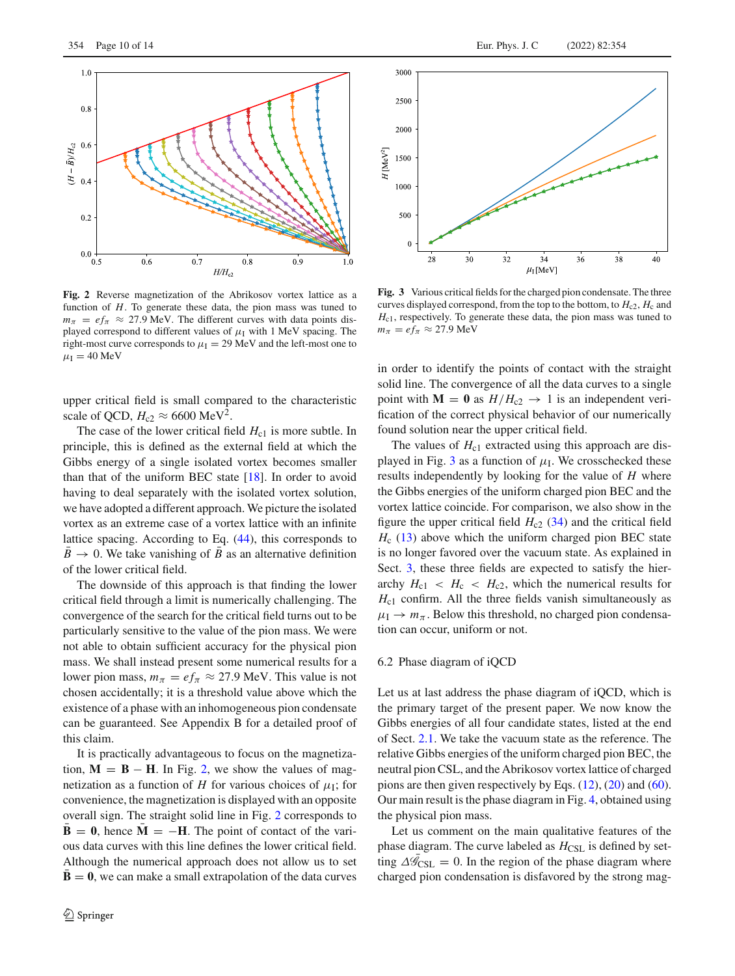

<span id="page-9-0"></span>**Fig. 2** Reverse magnetization of the Abrikosov vortex lattice as a function of *H*. To generate these data, the pion mass was tuned to  $m_{\pi} = e f_{\pi} \approx 27.9$  MeV. The different curves with data points displayed correspond to different values of  $\mu_I$  with 1 MeV spacing. The right-most curve corresponds to  $\mu_I = 29$  MeV and the left-most one to  $\mu_I = 40$  MeV

upper critical field is small compared to the characteristic scale of QCD,  $H_{c2} \approx 6600 \text{ MeV}^2$ .

The case of the lower critical field  $H_{c1}$  is more subtle. In principle, this is defined as the external field at which the Gibbs energy of a single isolated vortex becomes smaller than that of the uniform BEC state  $[18]$ . In order to avoid having to deal separately with the isolated vortex solution, we have adopted a different approach. We picture the isolated vortex as an extreme case of a vortex lattice with an infinite lattice spacing. According to Eq. [\(44\)](#page-6-6), this corresponds to  $\bar{B} \rightarrow 0$ . We take vanishing of  $\bar{B}$  as an alternative definition of the lower critical field.

The downside of this approach is that finding the lower critical field through a limit is numerically challenging. The convergence of the search for the critical field turns out to be particularly sensitive to the value of the pion mass. We were not able to obtain sufficient accuracy for the physical pion mass. We shall instead present some numerical results for a lower pion mass,  $m_{\pi} = e f_{\pi} \approx 27.9$  MeV. This value is not chosen accidentally; it is a threshold value above which the existence of a phase with an inhomogeneous pion condensate can be guaranteed. See Appendix B for a detailed proof of this claim.

It is practically advantageous to focus on the magnetization,  $M = B - H$ . In Fig. [2,](#page-9-0) we show the values of magnetization as a function of *H* for various choices of  $\mu_I$ ; for convenience, the magnetization is displayed with an opposite overall sign. The straight solid line in Fig. [2](#page-9-0) corresponds to  $\bar{\mathbf{B}} = \mathbf{0}$ , hence  $\bar{\mathbf{M}} = -\mathbf{H}$ . The point of contact of the various data curves with this line defines the lower critical field. Although the numerical approach does not allow us to set **, we can make a small extrapolation of the data curves** 



<span id="page-9-1"></span>**Fig. 3** Various critical fields for the charged pion condensate. The three curves displayed correspond, from the top to the bottom, to  $H_c$ <sub>2</sub>,  $H_c$  and *H*<sub>c1</sub>, respectively. To generate these data, the pion mass was tuned to  $m_{\pi} = e f_{\pi} \approx 27.9$  MeV

in order to identify the points of contact with the straight solid line. The convergence of all the data curves to a single point with  $M = 0$  as  $H/H_{c2} \rightarrow 1$  is an independent verification of the correct physical behavior of our numerically found solution near the upper critical field.

The values of  $H_{c1}$  extracted using this approach are dis-played in Fig. [3](#page-9-1) as a function of  $\mu$ <sub>I</sub>. We crosschecked these results independently by looking for the value of *H* where the Gibbs energies of the uniform charged pion BEC and the vortex lattice coincide. For comparison, we also show in the figure the upper critical field  $H_{c2}$  [\(34\)](#page-5-4) and the critical field *H*<sub>c</sub> [\(13\)](#page-3-4) above which the uniform charged pion BEC state is no longer favored over the vacuum state. As explained in Sect. [3,](#page-3-0) these three fields are expected to satisfy the hierarchy  $H_{c1}$  <  $H_c$  <  $H_{c2}$ , which the numerical results for  $H_{c1}$  confirm. All the three fields vanish simultaneously as  $\mu_I \rightarrow m_\pi$ . Below this threshold, no charged pion condensation can occur, uniform or not.

#### <span id="page-9-2"></span>6.2 Phase diagram of iQCD

Let us at last address the phase diagram of iQCD, which is the primary target of the present paper. We now know the Gibbs energies of all four candidate states, listed at the end of Sect. [2.1.](#page-2-4) We take the vacuum state as the reference. The relative Gibbs energies of the uniform charged pion BEC, the neutral pion CSL, and the Abrikosov vortex lattice of charged pions are then given respectively by Eqs. [\(12\)](#page-3-3), [\(20\)](#page-4-4) and [\(60\)](#page-8-3). Our main result is the phase diagram in Fig. [4,](#page-10-1) obtained using the physical pion mass.

Let us comment on the main qualitative features of the phase diagram. The curve labeled as  $H_{\text{CSL}}$  is defined by setting  $\Delta \mathscr{G}_{\text{CSL}} = 0$ . In the region of the phase diagram where charged pion condensation is disfavored by the strong mag-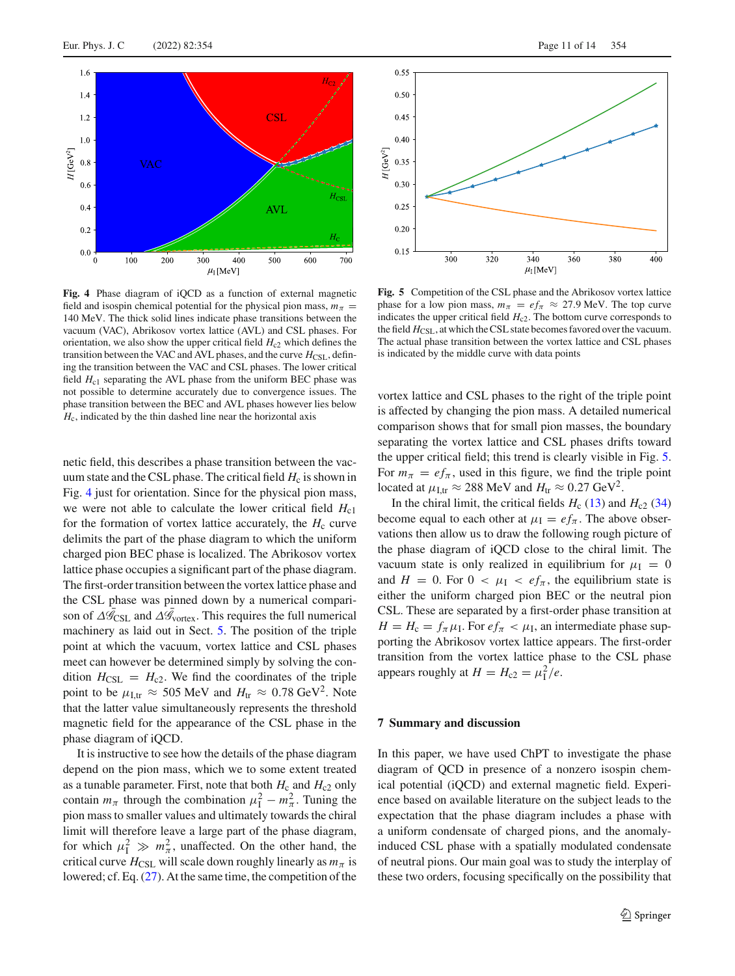

<span id="page-10-1"></span>**Fig. 4** Phase diagram of iQCD as a function of external magnetic field and isospin chemical potential for the physical pion mass,  $m_\pi$  = 140 MeV. The thick solid lines indicate phase transitions between the vacuum (VAC), Abrikosov vortex lattice (AVL) and CSL phases. For orientation, we also show the upper critical field  $H_{c2}$  which defines the transition between the VAC and AVL phases, and the curve  $H_{\text{CSI}}$ , defining the transition between the VAC and CSL phases. The lower critical field  $H_{c1}$  separating the AVL phase from the uniform BEC phase was not possible to determine accurately due to convergence issues. The phase transition between the BEC and AVL phases however lies below  $H<sub>c</sub>$ , indicated by the thin dashed line near the horizontal axis

netic field, this describes a phase transition between the vacuum state and the CSL phase. The critical field  $H_c$  is shown in Fig. [4](#page-10-1) just for orientation. Since for the physical pion mass, we were not able to calculate the lower critical field  $H_{c1}$ for the formation of vortex lattice accurately, the  $H_c$  curve delimits the part of the phase diagram to which the uniform charged pion BEC phase is localized. The Abrikosov vortex lattice phase occupies a significant part of the phase diagram. The first-order transition between the vortex lattice phase and the CSL phase was pinned down by a numerical comparison of  $\Delta \mathcal{G}_{\text{CSL}}$  and  $\Delta \mathcal{G}_{\text{vortex}}$ . This requires the full numerical machinery as laid out in Sect. [5.](#page-5-0) The position of the triple point at which the vacuum, vortex lattice and CSL phases meet can however be determined simply by solving the condition  $H_{CSL} = H_{c2}$ . We find the coordinates of the triple point to be  $\mu_{\text{I,tr}} \approx 505 \text{ MeV}$  and  $H_{\text{tr}} \approx 0.78 \text{ GeV}^2$ . Note that the latter value simultaneously represents the threshold magnetic field for the appearance of the CSL phase in the phase diagram of iQCD.

It is instructive to see how the details of the phase diagram depend on the pion mass, which we to some extent treated as a tunable parameter. First, note that both  $H_c$  and  $H_{c2}$  only contain  $m_{\pi}$  through the combination  $\mu_{\rm I}^2 - m_{\pi}^2$ . Tuning the pion mass to smaller values and ultimately towards the chiral limit will therefore leave a large part of the phase diagram, for which  $\mu_1^2 \gg m_\pi^2$ , unaffected. On the other hand, the critical curve  $H_{\text{CSL}}$  will scale down roughly linearly as  $m_\pi$  is lowered; cf. Eq. [\(27\)](#page-4-7). At the same time, the competition of the



<span id="page-10-2"></span>Fig. 5 Competition of the CSL phase and the Abrikosov vortex lattice phase for a low pion mass,  $m_\pi = e f_\pi \approx 27.9$  MeV. The top curve indicates the upper critical field  $H_{c2}$ . The bottom curve corresponds to the field  $H_{\text{CSL}}$ , at which the CSL state becomes favored over the vacuum. The actual phase transition between the vortex lattice and CSL phases is indicated by the middle curve with data points

vortex lattice and CSL phases to the right of the triple point is affected by changing the pion mass. A detailed numerical comparison shows that for small pion masses, the boundary separating the vortex lattice and CSL phases drifts toward the upper critical field; this trend is clearly visible in Fig. [5.](#page-10-2) For  $m_{\pi} = e f_{\pi}$ , used in this figure, we find the triple point located at  $\mu$ <sub>Ltr</sub>  $\approx$  288 MeV and  $H_{tr} \approx 0.27 \text{ GeV}^2$ .

In the chiral limit, the critical fields  $H_c$  [\(13\)](#page-3-4) and  $H_{c2}$  [\(34\)](#page-5-4) become equal to each other at  $\mu_I = ef_\pi$ . The above observations then allow us to draw the following rough picture of the phase diagram of iQCD close to the chiral limit. The vacuum state is only realized in equilibrium for  $\mu_I = 0$ and  $H = 0$ . For  $0 < \mu_I < ef_\pi$ , the equilibrium state is either the uniform charged pion BEC or the neutral pion CSL. These are separated by a first-order phase transition at  $H = H_c = f_{\pi} \mu_I$ . For  $e f_{\pi} < \mu_I$ , an intermediate phase supporting the Abrikosov vortex lattice appears. The first-order transition from the vortex lattice phase to the CSL phase appears roughly at  $H = H_{c2} = \mu_1^2/e$ .

# <span id="page-10-0"></span>**7 Summary and discussion**

In this paper, we have used ChPT to investigate the phase diagram of QCD in presence of a nonzero isospin chemical potential (iQCD) and external magnetic field. Experience based on available literature on the subject leads to the expectation that the phase diagram includes a phase with a uniform condensate of charged pions, and the anomalyinduced CSL phase with a spatially modulated condensate of neutral pions. Our main goal was to study the interplay of these two orders, focusing specifically on the possibility that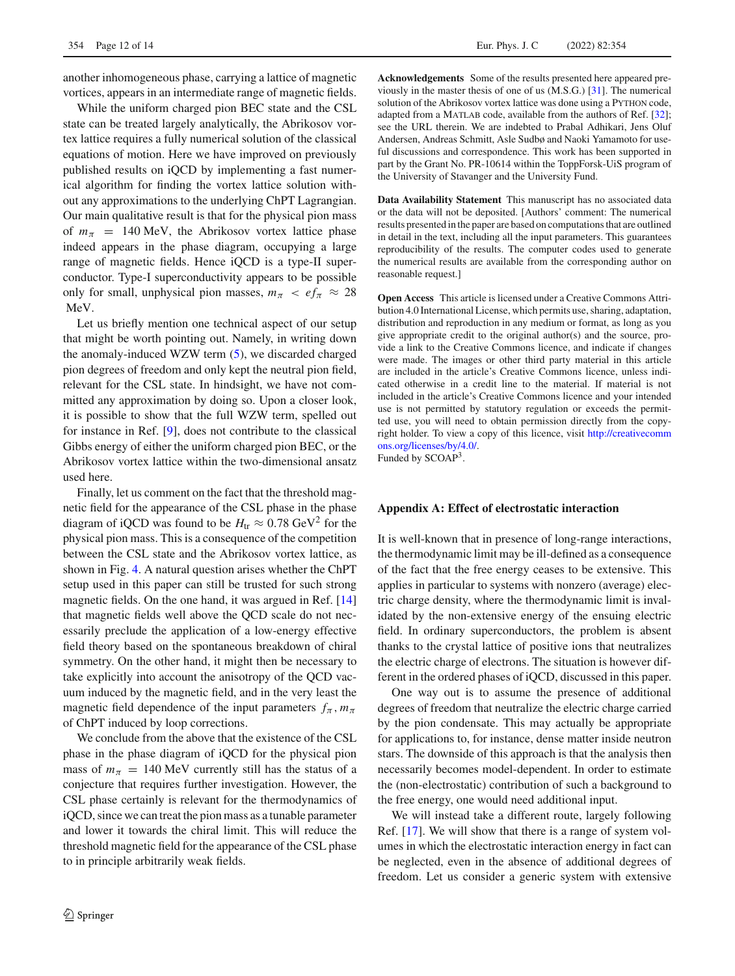another inhomogeneous phase, carrying a lattice of magnetic vortices, appears in an intermediate range of magnetic fields.

While the uniform charged pion BEC state and the CSL state can be treated largely analytically, the Abrikosov vortex lattice requires a fully numerical solution of the classical equations of motion. Here we have improved on previously published results on iQCD by implementing a fast numerical algorithm for finding the vortex lattice solution without any approximations to the underlying ChPT Lagrangian. Our main qualitative result is that for the physical pion mass of  $m_\pi$  = 140 MeV, the Abrikosov vortex lattice phase indeed appears in the phase diagram, occupying a large range of magnetic fields. Hence iQCD is a type-II superconductor. Type-I superconductivity appears to be possible only for small, unphysical pion masses,  $m_\pi < e f_\pi \approx 28$ MeV.

Let us briefly mention one technical aspect of our setup that might be worth pointing out. Namely, in writing down the anomaly-induced WZW term [\(5\)](#page-2-2), we discarded charged pion degrees of freedom and only kept the neutral pion field, relevant for the CSL state. In hindsight, we have not committed any approximation by doing so. Upon a closer look, it is possible to show that the full WZW term, spelled out for instance in Ref. [\[9](#page-13-7)], does not contribute to the classical Gibbs energy of either the uniform charged pion BEC, or the Abrikosov vortex lattice within the two-dimensional ansatz used here.

Finally, let us comment on the fact that the threshold magnetic field for the appearance of the CSL phase in the phase diagram of iQCD was found to be  $H_{tr} \approx 0.78 \text{ GeV}^2$  for the physical pion mass. This is a consequence of the competition between the CSL state and the Abrikosov vortex lattice, as shown in Fig. [4.](#page-10-1) A natural question arises whether the ChPT setup used in this paper can still be trusted for such strong magnetic fields. On the one hand, it was argued in Ref. [\[14\]](#page-13-11) that magnetic fields well above the QCD scale do not necessarily preclude the application of a low-energy effective field theory based on the spontaneous breakdown of chiral symmetry. On the other hand, it might then be necessary to take explicitly into account the anisotropy of the QCD vacuum induced by the magnetic field, and in the very least the magnetic field dependence of the input parameters  $f_{\pi}$ ,  $m_{\pi}$ of ChPT induced by loop corrections.

We conclude from the above that the existence of the CSL phase in the phase diagram of iQCD for the physical pion mass of  $m_{\pi}$  = 140 MeV currently still has the status of a conjecture that requires further investigation. However, the CSL phase certainly is relevant for the thermodynamics of iQCD, since we can treat the pion mass as a tunable parameter and lower it towards the chiral limit. This will reduce the threshold magnetic field for the appearance of the CSL phase to in principle arbitrarily weak fields.

**Acknowledgements** Some of the results presented here appeared previously in the master thesis of one of us (M.S.G.) [\[31\]](#page-13-28). The numerical solution of the Abrikosov vortex lattice was done using a PYTHON code, adapted from a MATLAB code, available from the authors of Ref. [\[32](#page-13-29)]; see the URL therein. We are indebted to Prabal Adhikari, Jens Oluf Andersen, Andreas Schmitt, Asle Sudbø and Naoki Yamamoto for useful discussions and correspondence. This work has been supported in part by the Grant No. PR-10614 within the ToppForsk-UiS program of the University of Stavanger and the University Fund.

**Data Availability Statement** This manuscript has no associated data or the data will not be deposited. [Authors' comment: The numerical results presented in the paper are based on computations that are outlined in detail in the text, including all the input parameters. This guarantees reproducibility of the results. The computer codes used to generate the numerical results are available from the corresponding author on reasonable request.]

**Open Access** This article is licensed under a Creative Commons Attribution 4.0 International License, which permits use, sharing, adaptation, distribution and reproduction in any medium or format, as long as you give appropriate credit to the original author(s) and the source, provide a link to the Creative Commons licence, and indicate if changes were made. The images or other third party material in this article are included in the article's Creative Commons licence, unless indicated otherwise in a credit line to the material. If material is not included in the article's Creative Commons licence and your intended use is not permitted by statutory regulation or exceeds the permitted use, you will need to obtain permission directly from the copyright holder. To view a copy of this licence, visit [http://creativecomm](http://creativecommons.org/licenses/by/4.0/) [ons.org/licenses/by/4.0/.](http://creativecommons.org/licenses/by/4.0/)

Funded by SCOAP3.

#### **Appendix A: Effect of electrostatic interaction**

It is well-known that in presence of long-range interactions, the thermodynamic limit may be ill-defined as a consequence of the fact that the free energy ceases to be extensive. This applies in particular to systems with nonzero (average) electric charge density, where the thermodynamic limit is invalidated by the non-extensive energy of the ensuing electric field. In ordinary superconductors, the problem is absent thanks to the crystal lattice of positive ions that neutralizes the electric charge of electrons. The situation is however different in the ordered phases of iQCD, discussed in this paper.

One way out is to assume the presence of additional degrees of freedom that neutralize the electric charge carried by the pion condensate. This may actually be appropriate for applications to, for instance, dense matter inside neutron stars. The downside of this approach is that the analysis then necessarily becomes model-dependent. In order to estimate the (non-electrostatic) contribution of such a background to the free energy, one would need additional input.

We will instead take a different route, largely following Ref. [\[17](#page-13-14)]. We will show that there is a range of system volumes in which the electrostatic interaction energy in fact can be neglected, even in the absence of additional degrees of freedom. Let us consider a generic system with extensive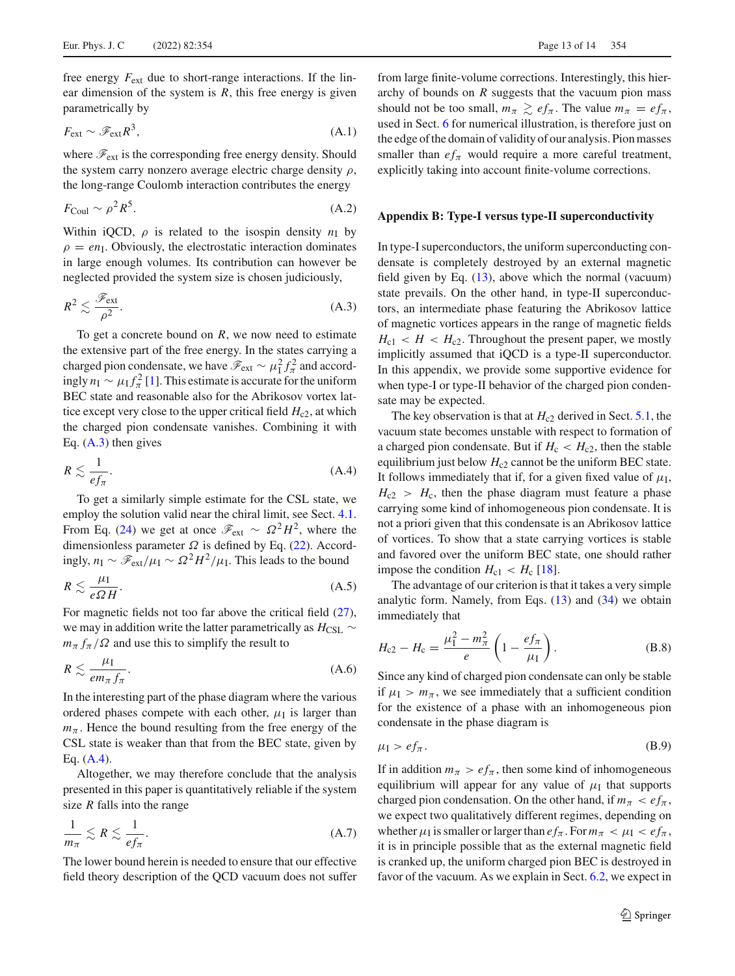free energy *F*ext due to short-range interactions. If the linear dimension of the system is  $R$ , this free energy is given parametrically by

$$
F_{\text{ext}} \sim \mathcal{F}_{\text{ext}} R^3, \tag{A.1}
$$

where  $\mathcal{F}_{ext}$  is the corresponding free energy density. Should the system carry nonzero average electric charge density  $\rho$ , the long-range Coulomb interaction contributes the energy

$$
F_{\text{Coul}} \sim \rho^2 R^5. \tag{A.2}
$$

Within iQCD,  $\rho$  is related to the isospin density  $n_I$  by  $\rho = en<sub>I</sub>$ . Obviously, the electrostatic interaction dominates in large enough volumes. Its contribution can however be neglected provided the system size is chosen judiciously,

<span id="page-12-0"></span>
$$
R^2 \lesssim \frac{\mathcal{F}_{\text{ext}}}{\rho^2}.\tag{A.3}
$$

To get a concrete bound on *R*, we now need to estimate the extensive part of the free energy. In the states carrying a charged pion condensate, we have  $\mathcal{F}_{ext} \sim \mu_I^2 f_\pi^2$  and accordingly  $n_I \sim \mu_I f_\pi^2$  [\[1\]](#page-13-0). This estimate is accurate for the uniform BEC state and reasonable also for the Abrikosov vortex lattice except very close to the upper critical field  $H_{c2}$ , at which the charged pion condensate vanishes. Combining it with Eq. [\(A.3\)](#page-12-0) then gives

<span id="page-12-1"></span>
$$
R \lesssim \frac{1}{ef_\pi}.\tag{A.4}
$$

To get a similarly simple estimate for the CSL state, we employ the solution valid near the chiral limit, see Sect. [4.1.](#page-4-8) From Eq. [\(24\)](#page-4-9) we get at once  $\mathcal{F}_{ext} \sim \Omega^2 H^2$ , where the dimensionless parameter  $\Omega$  is defined by Eq. [\(22\)](#page-4-5). Accordingly,  $n_I \sim \mathcal{F}_{ext}/\mu_I \sim \Omega^2 H^2/\mu_I$ . This leads to the bound

$$
R \lesssim \frac{\mu_{\rm I}}{e\Omega H}.\tag{A.5}
$$

For magnetic fields not too far above the critical field [\(27\)](#page-4-7), we may in addition write the latter parametrically as *H*<sub>CSL</sub> ∼  $m_{\pi} f_{\pi} / \Omega$  and use this to simplify the result to

$$
R \lesssim \frac{\mu_{\rm I}}{em_{\pi}f_{\pi}}.\tag{A.6}
$$

In the interesting part of the phase diagram where the various ordered phases compete with each other,  $\mu_I$  is larger than  $m_\pi$ . Hence the bound resulting from the free energy of the CSL state is weaker than that from the BEC state, given by Eq. [\(A.4\)](#page-12-1).

Altogether, we may therefore conclude that the analysis presented in this paper is quantitatively reliable if the system size *R* falls into the range

$$
\frac{1}{m_{\pi}} \lesssim R \lesssim \frac{1}{ef_{\pi}}.\tag{A.7}
$$

The lower bound herein is needed to ensure that our effective field theory description of the QCD vacuum does not suffer

from large finite-volume corrections. Interestingly, this hierarchy of bounds on *R* suggests that the vacuum pion mass should not be too small,  $m_\pi \geq e f_\pi$ . The value  $m_\pi = e f_\pi$ , used in Sect. [6](#page-8-0) for numerical illustration, is therefore just on the edge of the domain of validity of our analysis. Pion masses smaller than  $ef_\pi$  would require a more careful treatment, explicitly taking into account finite-volume corrections.

#### **Appendix B: Type-I versus type-II superconductivity**

In type-I superconductors, the uniform superconducting condensate is completely destroyed by an external magnetic field given by Eq. [\(13\)](#page-3-4), above which the normal (vacuum) state prevails. On the other hand, in type-II superconductors, an intermediate phase featuring the Abrikosov lattice of magnetic vortices appears in the range of magnetic fields  $H_{c1} < H < H_{c2}$ . Throughout the present paper, we mostly implicitly assumed that iQCD is a type-II superconductor. In this appendix, we provide some supportive evidence for when type-I or type-II behavior of the charged pion condensate may be expected.

The key observation is that at  $H_{c2}$  derived in Sect. [5.1,](#page-5-5) the vacuum state becomes unstable with respect to formation of a charged pion condensate. But if  $H_c < H_{c2}$ , then the stable equilibrium just below  $H_{c2}$  cannot be the uniform BEC state. It follows immediately that if, for a given fixed value of  $\mu_I$ ,  $H_{c2} > H_c$ , then the phase diagram must feature a phase carrying some kind of inhomogeneous pion condensate. It is not a priori given that this condensate is an Abrikosov lattice of vortices. To show that a state carrying vortices is stable and favored over the uniform BEC state, one should rather impose the condition  $H_{c1} < H_c$  [\[18](#page-13-15)].

The advantage of our criterion is that it takes a very simple analytic form. Namely, from Eqs.  $(13)$  and  $(34)$  we obtain immediately that

$$
H_{c2} - H_c = \frac{\mu_1^2 - m_\pi^2}{e} \left( 1 - \frac{ef_\pi}{\mu_1} \right).
$$
 (B.8)

Since any kind of charged pion condensate can only be stable if  $\mu_I > m_\pi$ , we see immediately that a sufficient condition for the existence of a phase with an inhomogeneous pion condensate in the phase diagram is

$$
\mu_{\rm I} > e f_{\pi}.\tag{B.9}
$$

If in addition  $m_\pi > ef_\pi$ , then some kind of inhomogeneous equilibrium will appear for any value of  $\mu_I$  that supports charged pion condensation. On the other hand, if  $m_\pi < ef_\pi$ , we expect two qualitatively different regimes, depending on whether  $\mu_I$  is smaller or larger than  $ef_\pi$ . For  $m_\pi < \mu_I < ef_\pi$ , it is in principle possible that as the external magnetic field is cranked up, the uniform charged pion BEC is destroyed in favor of the vacuum. As we explain in Sect. [6.2,](#page-9-2) we expect in